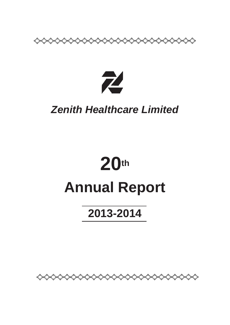

53

። አር

ዲን

≮ርጋ

≮J

ſ.

# *Zenith Healthcare Limited*

# **20th Annual Report**

# **2013-2014**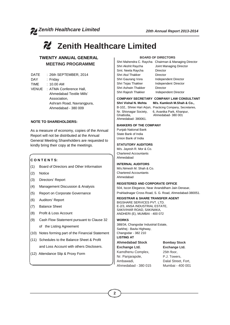# **Z** Zenith Healthcare Limited

# **TWENTY ANNUAL GENERAL MEETING PROGRAMME**

- DATE : 26th SEPTEMBER, 2014
- DAY : Friday
- TIME : 10.00 AM
- VENUE : ATMA Conference Hall, Ahmedabad Textile Mills' Association, Ashram Road, Navrangpura, Ahmedabad - 380 009

#### **NOTE TO SHAREHOLDERS:**

As a measure of economy, copies of the Annual Report will not be distributed at the Annual General Meeting Shareholders are requested to kindly bring their copy at the meetings.

### **C O N T E N T S:**

- (1) Board of Directors and Other Information
- (2) Notice
- (3) Directors' Report
- (4) Management Discussion & Analysis
- (5) Report on Corporate Governance
- (6) Auditors' Report
- (7) Balance Sheet
- (8) Profit & Loss Account
- (9) Cash Flow Statement pursuant to Clause 32 of the Listing Agreement
- (10) Notes forming part of the Financial Statement
- (11) Schedules to the Balance Sheet & Profit and Loss Account with others Disclosers.
- (12) Attendance Slip & Proxy Form

#### **BOARD OF DIRECTORS**

Smt. Neela Raycha Director Shri Atul Thakker Director Shri Gaurang Vora Independent Director Shri Tejas Thakker Independent Director Shri Ashwin Thakker Director Shri Rajesh Thakker Independent Director

Shri Mahendra C. Raycha Chairman & Managing Director Shri Akshit Raycha Joint Managing Director

#### **COMPANY SECRETARY COMPANY LAW CONSULTANT Shri Vishal N. Mehta M/s. Kamlesh M.Shah & Co.,**

Ahmedabad- 380061.

B-102,. Shree Hari Arjun, Practicing Company, Secretaries, Nr. Shivnagar Society, 6, Avanika Park, Khanpur, Ahmedabad- 380 001

#### **BANKERS OF THE COMPANY**

Punjab National Bank State Bank of India Union Bank of India

#### **STATUTORY AUDITORS**

M/s. Jayesh R. Mor & Co. Chartered Accountants Ahmedabad

#### **INTERNAL AUDITORS**

M/s.Nimesh M. Shah & Co. Chartered Accountants Ahmedabad

#### **REGISTERED AND CORPORATE OFFICE**

504, Iscon Elegance, Near Ananddham Jain Derasar, Prahladnagar Cross Road, S. G. Road, Ahmedabad-380051.

#### **REGISTRAR & SHARE TRANSFER AGENT**

BIGSHARE SERVICES PVT. LTD. E-2/3, ANSA INDUSTRIAL ESTATE, SAKIVIHAR ROAD, SAKINAKA, ANDHERI (E), MUMBAI - 400 072

#### **WORKS**

388/34, Changodar Industrial Estate, Sarkhej - Bavla Highway, Changodar - 382 210 **LISTING AT**

#### **Ahmedabad Stock Bombay Stock**

**Exchange Ltd. Exchange Ltd.** Kamdhenu Complex, 25th floor, Nr. Panjarapole. P.J. Towers, Ambawadi, Dalal Street, Fort,

Ahmedabad - 380 015 Mumbai - 400 001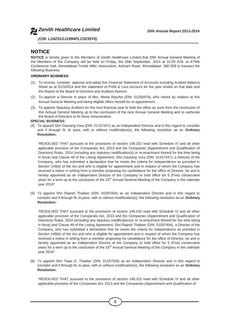

*(CIN: L24231GJ1994PLC023574)*

# **NOTICE**

**NOTICE** is hereby given to the Members of Zenith Healthcare Limited that 20th Annual General Meeting of the Members of the Company will be held on Friday, the 26th September, 2014 at 10.00 A.M. at ATMA Conference Hall, Ahmedabad Textile Mills' Association, Ashram Road, Ahmedabad- 380 009 to transact the following Business:

#### **ORDINARY BUSINESS:**

- (1) To receive, consider, approve and adopt the Financial Statement of Accounts including Audited Balance Sheet as at 31/3/2014 and the statement of Profit & Loss Account for the year ended on that date and the Report of the Board of Directors and Auditors thereon.
- (2) To appoint a Director in place of Mrs. Neela Raycha (DIN: 01258479), who retires by rotation at this Annual General Meeting and being eligible offers herself for re-appointment. .
- (3) To appoint Statutory Auditors for the next financial year to hold the office as such from the conclusion of this Annual General Meeting up to the conclusion of the next Annual General Meeting and to authorise the Board of Directors to fix there remuneration.

#### **SPECIAL BUSINESS:**

(4) To appoint Shri Gaurang Vora (DIN: 01157447) as an Independent Director and in this regard to consider and if through fit, to pass, with or without modification(s), the following resolution as an **Ordinary Resolution:**

"RESOLVED THAT pursuant to the provisions of section 149,152 read with Schedule IV and all other applicable provision of the Companies Act, 2013 and the Companies (Appointment and Qualification of Directors) Rules, 2014 (including any statutory modification(s) or re-enactment thereof for the time being in force) and Clause 49 of the Listing Agreement, Shri Gaurang Vora (DIN: 01157447), a Director of the Company, who has submitted a declaration that he meets the criteria for independence as provided in Section 149(6) of the Act and who is eligible for appointment and in respect of whom the Company has received a notice in writing from a member proposing his candidature for the office of Director, be and is hereby appointed as an Independent Director of the Company to hold office for 5 (Five) consecutive years for a term up to the conclusion of the 25<sup>th</sup> Annual General Meeting of the Company in the calendar year 2019".

(5) To appoint Shri Rajesh Thakker (DIN: 01597404) as an Independent Director and in this regard to consider and if through fit, to pass, with or without modification(s), the following resolution as an **Ordinary Resolution:**

"RESOLVED THAT pursuant to the provisions of section 149,152 read with Schedule IV and all other applicable provision of the Companies Act, 2013 and the Companies (Appointment and Qualification of Directors) Rules, 2014 (including any statutory modification(s) or re-enactment thereof for the time being in force) and Clause 49 of the Listing Agreement, Shri Rajesh Thakker (DIN: 01597404), a Director of the Company, who has submitted a declaration that he meets the criteria for independence as provided in Section 149(6) of the Act and who is eligible for appointment and in respect of whom the Company has received a notice in writing from a member proposing his candidature for the office of Director, be and is hereby appointed as an Independent Director of the Company to hold office for 5 (Five) consecutive years for a term up to the conclusion of the 25<sup>th</sup> Annual General Meeting of the Company in the calendar year 2019".

(6) To appoint Shri Tejas D. Thakker (DIN: 01157506) as an Independent Director and in this regard to consider and if through fit, to pass, with or without modification(s), the following resolution as an **Ordinary Resolution:**

"RESOLVED THAT pursuant to the provisions of section 149,152 read with Schedule IV and all other applicable provision of the Companies Act, 2013 and the Companies (Appointment and Qualification of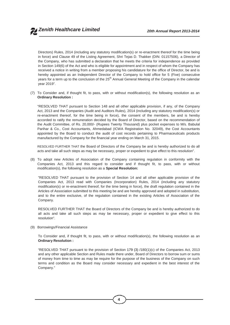Directors) Rules, 2014 (including any statutory modification(s) or re-enactment thereof for the time being in force) and Clause 49 of the Listing Agreement, Shri Tejas D. Thakker (DIN: 01157506), a Director of the Company, who has submitted a declaration that he meets the criteria for independence as provided in Section 149(6) of the Act and who is eligible for appointment and in respect of whom the Company has received a notice in writing from a member proposing his candidature for the office of Director, be and is hereby appointed as an Independent Director of the Company to hold office for 5 (Five) consecutive years for a term up to the conclusion of the 25<sup>th</sup> Annual General Meeting of the Company in the calendar year 2019".

(7) To Consider and, if thought fit, to pass, with or without modification(s), the following resolution as an **Ordinary Resolution :**

"RESOLVED THAT pursuant to Section 148 and all other applicable provision, if any, of the Company Act, 2013 and the Companies (Audit and Auditors Rules), 2014 (including any statutory modification(s) or re-enactment thereof, for the time being in force), the consent of the members, be and is hereby accorded to ratify the remuneration decided by the Board of Director, based on the recommendation of the Audit Committee, of Rs. 20,000/- (Rupees Twenty Thousand) plus pocket expenses to M/s. Babulal Parihar & Co., Cost Accountants, Ahmedabad (ICWA Registration No. 32049), the Cost Accountants appointed by the Board to conduct the audit of cost records pertaining to Pharmaceuticals products manufactured by the Company for the financial year ending on March 31, 2015.

RESOLVED FURTHER THAT the Board of Directors of the Company be and is hereby authorized to do all acts and take all such steps as may be necessary, proper or expedient to give effect to this resolution".

(8) To adopt new Articles of Association of the Company containing regulation in conformity with the Companies Act, 2013 and this regard to consider and if thought fit, to pass, with or without modification(s), the following resolution as a **Special Resolution:**

"RESOLVED THAT pursuant to the provision of Section 14 and all other applicable provision of the Companies Act, 2013 read with Companies (Incorporation) Rules, 2014 (including any statutory modification(s) or re-enactment thereof, for the time being in force), the draft regulation contained in the Articles of Association submitted to this meeting be and are hereby approved and adopted in substitution, and to the entire exclusive, of the regulation contained in the existing Articles of Association of the Company.

RESOLVED FURTHER THAT the Board of Directors of the Company be and is hereby authorized to do all acts and take all such steps as may be necessary, proper or expedient to give effect to this resolution".

(9) Borrowings/Financial Assistance

To Consider and, if thought fit, to pass, with or without modification(s), the following resolution as an **Ordinary Resolution :**

"RESOLVED THAT pursuant to the provision of Section 179 (3) /180(1)(c) of the Companies Act, 2013 and any other applicable Section and Rules made there under, Board of Directors to borrow sum or sums of money from time to time as may be require for the purpose of the business of the Company on such terms and condition as the Board may consider necessary and expedient in the best interest of the Company."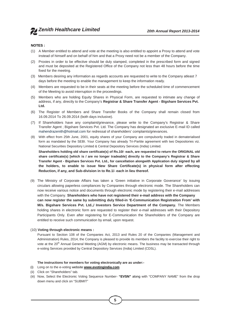#### **NOTES :**

- (1) A Member entitled to attend and vote at the meeting is also entitled to appoint a Proxy to attend and vote instead of himself and on behalf of him and that a Proxy need not be a member of the Company.
- (2) Proxies in order to be effective should be duly stamped, completed in the prescribed form and signed and must be deposited at the Registered Office of the Company not less than 48 hours before the time fixed for the meeting.
- (3) Members desiring any information as regards accounts are requested to write to the Company atleast 7 days before the meeting to enable the management to keep the information ready.
- (4) Members are requested to be in their seats at the meeting before the scheduled time of commencement of the Meeting to avoid interruption in the proceedings.
- (5) Members who are holding Equity Shares in Physical Form, are requested to intimate any change of address, if any, directly to the Company's **Registrar & Share Transfer Agent - Bigshare Services Pvt. Ltd.**
- (6) The Register of Members and Share Transfer Books of the Company shall remain closed from 16.09.2014 To 26.09.2014 (both days inclusive).
- (7) If Shareholders have any complaint/grievance, please write to the Company's Registrar & Share Transfer Agent ; Bigshare Services Pvt. Ltd. The Company has designated an exclusive E-mail ID called mahendrazenith@hotmail.com for redressal of shareholders' complaints/grievances.
- (8) With effect from 25th June, 2001, equity shares of your Company are compulsorily traded in dematerialised form as mandated by the SEBI. Your Company has already Tri-Partite agreement with two Depositories viz. National Securities Depository Limited & Central Depository Services (India) Limited.

**Shareholders holding old share certificate(s) of Rs.10/- each, are requested to return the ORIGINAL old share certificate(s) [which is / are no longer tradeable] directly to the Company's Registrar & Share Transfer Agent - Bigshare Services Pvt. Ltd., for cancellation alongwith Application duly signed by all the holders, to enable to issue New Share Certificate(s) in physical form after effecting Reduction, if any, and Sub-division in to Re.1/- each in lieu thereof.**

(9) The Ministry of Corporate Affairs has taken a 'Green initiative in Corporate Goverance' by issuing circulars allowing paperless compliances by Companies through electronic mode. The Shareholders can now receive various notice and documents through electronic mode by registering their e-mail addresses with the Company. **Shareholders who have not registered their e-mail address with the Company can now register the same by submitting duly filled-in 'E-Communication Registration From' with M/s. Bigshare Services Pvt. Ltd.,/ Investors Service Department of the Company.** The Members holding shares in electronic form are requested to register their e-mail addresses with their Depository Participants Only. Even after registering for E-Communication the Shareholders of the Company are entitled to receive such communication by email, upon request.

#### (10) **Voting through electronic means :**

Pursuant to Section 108 of the Companies Act, 2013 and Rules 20 of the Companies (Management and Administration) Rules, 2014, the Company is pleased to provide its members the facility to exercise their right to vote at the 20<sup>th</sup> Annual General Meeting (AGM) by electronic means. The business may be transacted through e-voting Services provided by Central Depository Services (India) Limited (CDSL).

#### **The instructions for members for voting electronically are as under:-**

- (i) Long on to the e-voting website **www.evotingindia.com**
- (ii) Click on "Shareholders" tab.
- (iii) Now, Select the Electronic Voting Sequence Number- **"EVSN"** along with "COMPANY NAME" from the drop down menu and click on "SUBMIT"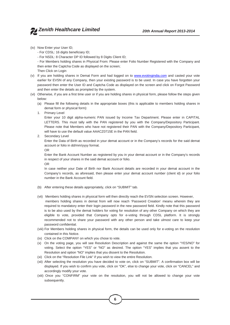- (iv) Now Enter your User ID;
	- For CDSL: 16 digits beneficiary ID;
	- For NSDL: 8 Character DP ID followed by 8 Digits Client ID;
	- For Members holding shares in Physical From: Please enter Folio Number Registered with the Company and then enter the Captcha Code as displayed on the screen;
	- Then Click on Login
- (v) If you are holding shares in Demat Form and had logged on to www.evotingindia.com and casted your vote earlier for EVSN of any Company, then your existing password is to be used. In case you have forgotten your password then enter the User ID and Captcha Code as displayed on the screen and click on Forgot Password and then enter the details as prompted by the system.
- (vi) Otherwise, if you are a first time user or if you are holding shares in physical form, please follow the steps given below:
	- (a) Please fill the following details in the appropriate boxes (this is applicable to members holding shares in demat form or physical form):
	- 1. Primary Level

Enter your 10 digit alpha-numeric PAN issued by Income Tax Department. Please enter in CAPITAL LETTERS. This must tally with the PAN registered by you with the Company/Depository Participant. Please note that Members who have not registered their PAN with the Company/Depository Participant, will have to use the default value AAACZ0715E in the PAN field.

2. Secondary Level

Enter the Data of Birth as recorded in your demat account or in the Company's records for the said demat account or folio in dd/mm/yyyy format.

OR

Enter the Bank Account Number as registered by you in your demat account or in the Company's records in respect of your shares in the said demat account or folio. OR

In case neither your Date of Birth nor Bank Account details are recorded in your demat account in the Company's records, as aforesaid, then please enter your demat account number (client id) or your folio number in the Bank Account field.

- (b) After entering these details appropriately, click on "SUBMIT" tab.
- (vii) Members holding shares in physical form will then directly reach the EVSN selection screen. However,
	- members holding shares in demat from will now reach 'Password Creation' meanu wherein they are required to mandatory enter their login password in the new password field. Kindly note that this password is to be also used by the demat holders for voting for resolution of any other Company on which they are eligible to vote, provided that Company opts for e-voting through CDSL platform. It is strongly recommended not to share your password with any other person and take ulmost care to keep your password confidential.
- (viii) For Members holding shares in physical form, the details can be used only for e-voting on the resolution contained in this Notice.
- (ix) Click on the COMPANY on which you chose to vote.
- (x) On the voting page, you will see Resolution Description and against the same the option "YES/NO" for voting. Select the option "YES" or "NO" as desired. The option "YES" implies that you assent to the Resolution and option "NO" implies that you dissent to the Resolution.
- (xi) Click on the "Resolution File Link" if you wish to view the entire Resolution.
- (xii) After selecting the resolution you have decided to vote on, click on "SUBMIT". A confirmation box will be displayed. If you wish to confirm you vote, click on "OK", else to change your vote, click on "CANCEL" and accordingly modify your vote.
- (xiii) Once you "CONFIRM" your vote on the resolution, you will not be allowed to change your vote subsequently.

**6**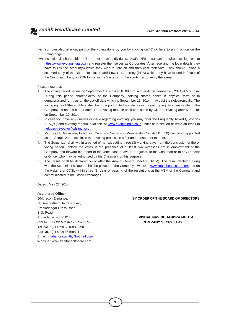- (xiv) You can also take out print of the voting done by you by clicking on "Click here to print" option on the Voting page.
- (xv) Institutional shareholders (i.e. other than Individuals, HUF, NRI etc.) are required to log on to https://www.evotingindia.co.in and register themselves as Corporates. After receiving the login details they have to link the account(s) which they wish to vote on and then cast their vote. They should upload a scanned copy of the Board Resolution and Power of Attorney (POA) which they have issued in favour of the Custodian, if any, in PDF format in the Systems for the scrutinizer to verify the same.

#### Please note that:

- 1. The voting period begins on September 18, 2014 at 10.00 a.m. and ends September 20, 2014 at 5.00 p.m. During this period shareholders' of the Company, holding shares either in physical form or in dematerialized form, as on the cut-off date which is September 16, 2014, may cast their electronically. The voting rights of Shareholders shall be in proportion to their shares in the paid up equity share capital of the Company as on this cut-off date. The e-voting module shall be disable by CDSL for voting after 5.00 p.m. on September 20, 2014.
- 2. In case you have any queries or issue regarding e-voting, you may refer the Frequently Asked Questions ("FAQs") and e-voting manual available at www.evotingindia.co.in under help section or write an email to helpdesk.evoting@cdslindia.com.
- 3. Mr. Bipin L. Makwana, Practicing Company Secretary (Membership No. ACS15650) has been appointed as the Scrutinizer to scutinize the e-voting process in a fair and transparent manner.
- 4. The Scrutinizer shall within a period of not exceeding three (3) working days from the conclusion of the e voting period unblock the votes in the presence of at least two witnesses not in employment of the Company and forward his report of the votes cast in favour or against, to the Chairman or to any Director or Officer who may be authorized by the Chairman for this purpose.
- 5. The Result shall be declared on or after the Annual General Meeting (AGM). The result declared along with the Scrutinizer's Report shall be placed on the Company's website www.zenithhealthcare.com and on the website of CDSL within three (3) days of passing of the resolutions at the AGM of the Company and communicated to the Stock Exchanges.

Dated : May 27, 2014

#### **Registered Office :**

Nr. Ananddham Jain Derasar, Prahladnagar Cross Road, S.G. Road, Ahmedabad – 380 015 **VISHAL NAVINCHANDRA MEHTA** CIN No. : L2431GJ1994PLC023574 **COMPANY SECRETARY** Tel. No. : (91 079) 66168889/90 Fax No. : (91 079) 66168891 Email : mahendrazenith@hotmail.com Website : www.zenithhealthcare.com

#### 504, Iscon Elegance, **BY ORDER OF THE BOARD OF DIRECTORS**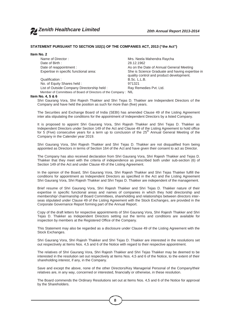#### **STATEMENT PURSUANT TO SECTION 102(1) OF THE COMPANIES ACT, 2013 ("the Act")**

#### **Item No. 2**

Name of Director : Mrs. Neela Mahendra Raycha Date of Birth : 28.12.1962<br>Date of reappointment : 28.12.1962

Qualification : B.Sc. L.<br>No. of Equity Shares held : Shares held : B.Sc. L. No. of Equity Shares held : List of Outside Company Directorship held : Ray Remedies Pvt. Ltd. Member of Committees of Board of Directors of the Company : NIL

As on the Date of Annual General Meeting Expertise in specific functional area: She is Science Graduate and having expertise in quality control and product development.<br>B.Sc. L.L.B.

#### **Item No. 4, 5 & 6**

Shri Gaurang Vora, Shri Rajesh Thakker and Shri Tejas D. Thakker are Independent Directors of the Company and have held the position as such for more than (five) years.

The Securities and Exchange Board of India (SEBI) has amended Clause 49 of the Listing Agreement inter alia stipulating the conditions for the appointment of Independent Directors by a listed Company.

It is proposed to appoint Shri Gaurang Vora, Shri Rajesh Thakker and Shri Tejas D. Thakker as Independent Directors under Section 149 of the Act and Clause 49 of the Listing Agreement to hold office for 5 (Five) consecutive years for a term up to conclusion of the 25<sup>th</sup> Annual General Meeting of the Company in the Calender year 2019.

Shri Gaurang Vora, Shri Rajesh Thakker and Shri Tejas D. Thakker are not disqualified from being appointed as Directors in terms of Section 164 of the Act and have given their consent to act as Director.

The Company has also received declaration from Shri Gaurang Vora, Shri Rajesh Thakker and Tejas D. Thakker that they meet with the criteria of independence as prescribed both under sub-section (6) of Section 149 of the Act and under Clause 49 of the Listing Agreement.

In the opinion of the Board, Shri Gaurang Vora, Shri Rajesh Thakker and Shri Tejas Thakker fulfill the conditions for appointment as Independent Directors as specified in the Act and the Listing Agreement Shri Gaurang Vora, Shri Rajesh Thakker and Shri Tejas D. Thakker are independent of the management.

Brief resume of Shri Gaurang Vora, Shri Rajesh Thakker and Shri Tejas D. Thakker nature of their expertise in specific functional areas and names of companies in which they hold directorship and membership/ chairmanship of Board Committees, shareholding and relationships between directors inter seas stipulated under Clause 49 of the Listing Agreement with the Stock Exchanges, are provided in the Corporate Governance Report forming part of the Annual Report.

Copy of the draft letters for respective appointments of Shri Gaurang Vora, Shri Rajesh Thakker and Shri Tejas D. Thakker as Independent Directors setting out the terms and conditions are available for inspection by members at the Registered Office of the Company.

This Statement may also be regarded as a disclosure under Clause 49 of the Listing Agreement with the Stock Exchanges.

Shri Gaurang Vora, Shri Rajesh Thakker and Shri Tejas D. Thakker are interested in the resolutions set out respectively at Items Nos. 4,5 and 6 of the Notice with regard to their respective appointment.

The relatives of Shri Gaurang Vora, Shri Rajesh Thakker and Shri Tejas Thakker may be deemed to be interested in the resolution set out respectively at Items Nos. 4,5 and 6 of the Notice, to the extent of their shareholding interest, if any, in the Company.

Save and except the above, none of the other Directors/Key Managerial Personal of the Company/their relatives are, in any way, concerned or interested, financially or otherwise, in these resolution.

The Board commends the Ordinary Resolutions set out at Items Nos. 4,5 and 6 of the Notice for approval by the Shareholders.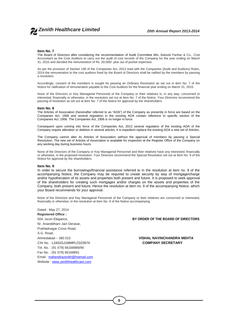#### **Item No. 7**

The Board of Directors after considering the recommendation of Audit Committee M/s. Babulal Parihar & Co., Cost Accountant as the Cost Auditors to carry out the audit of cost records of the Company for the year ending on March 31, 2015 and decided the remuneration of Rs. 20,000/- plus out of pocket expenses.

As per the provision of Section 148 of the Companies Act, 2013 read with the Companies (Audit and Auditors) Rules, 2014 the remuneration to the cost auditors fixed by the Board of Directors shall be ratified by the members by passing a resolution.

Accordingly, consent of the members is sought for passing an Ordinary Resolution as set out in item No. 7 of the Notice for ratification of remuneration payable to the Cost Auditors for the financial year ending on March 31, 2015.

None of the Directors or Key Managerial Personnel of the Company or their relatives is, in any way, concerned or interested, financially or otherwise, in the resolution set out at Item No. 7 of the Notice. Your Directors recommend the passing of resolution as set out at item No. 7 of the Notice for approval by the shareholders.

#### **Item No. 8**

The Articles of Association (hereinafter referred to as "AOA") of the Company as presently in force are based on the Companies Act, 1956 and several regulation in the existing AOA contain reference to specific section of the Companies Act, 1956. The Companies Act, 1956 is no longer in force.

Consequent upon coming into force of the Companies Act, 2013 several regulation of the existing AOA of the Company require alteration or deletion in several articles. It is expedient replace the existing AOA a new set of Articles.

The Company cannot alter its Articles of Association without the approval of members by passing a Special Resolution. The new set of Articles of Association is available for inspection at the Register Office of the Company on any working day during business hours.

None of the Directors of the Company or Key Managerial Personnel and their relatives have any interested, financially or otherwise, in the proposed resolution. Your Directors recommend the Special Resolution set out at Item No. 9 of the Notice for approval by the shareholders.

#### **Item No. 9**

In order to secure the borrowings/financial assistance referred to in the resolution at item no. 9 of the accompanying Notice, the Company may be required to create security by way of mortgage/charge and/or hypothecation of its assets and properties both present and future. It is proposed to seek approval of the shareholders for creating such mortgages and/or charges on the assets and properties of the Company, both present and future. Hence the resolution at item no. 9 of the accompanying Notice, which your Board recommends for your approval.

None of the Directors and Key Managerial Personnel of the Company or their relatives are concerned or interested, financially or otherwise, in the resolution at Item No. 9 of the Notice accompanying.

Dated : May 27, 2014 **Registered Office :** Nr. Ananddham Jain Derasar, Prahladnagar Cross Road, S.G. Road, Ahmedabad – 380 015 **VISHAL NAVINCHANDRA MEHTA** CIN No. : L2431GJ1994PLC023574 **COMPANY SECRETARY** Tel. No. : (91 079) 66168889/90 Fax No. : (91 079) 66168891 Email : mahendrazenith@hotmail.com Website : www.zenithhealthcare.com

504, Iscon Elegance, **BY ORDER OF THE BOARD OF DIRECTORS**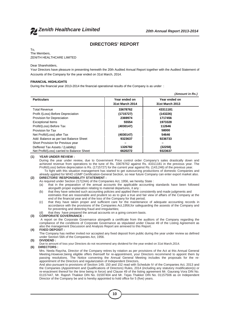

### **DIRECTORS' REPORT**

### To,

The Members, ZENITH HEALTHCARE LIMITED

#### Dear Shareholders,

Your Directors have pleasure in presenting herewith the 20th Audited Annual Report together with the Audited Statement of Accounts of the Company for the year ended on 31st March, 2014.

#### **FINANCIAL HIGHLIGHTS**

During the financial year 2013-2014 the financial operational results of the Company is as under :

|                                            |                 | (Amount in Rs.) |
|--------------------------------------------|-----------------|-----------------|
| <b>Particulars</b>                         | Year ended on   | Year ended on   |
|                                            | 31st March 2014 | 31st March 2013 |
| <b>Total Revenue</b>                       | 33678762        | 43311181        |
| Profit /(Loss) Before Depreciation         | (1715727)       | (143226)        |
| Provision for Depreciation                 | 2369974         | 1717456         |
| <b>Exceptional Items</b>                   | 55554           | 1973328         |
| Profit/(Loss) Before Tax                   | (4030147)       | 112646          |
| Provision for Tax                          |                 | 58000           |
| Net Profit/(Loss) after Tax                | (4030147)       | 54646           |
| Add: Balance as per last Balance Sheet     | 9323637         | 9236733         |
| Short Provision for Previous year          |                 |                 |
| Deffered Tax Assets / (Liability)          | 1326782         | (32258)         |
| Net Profit/(Loss) carried to Balance Sheet | 6620272         | 9323637         |

#### **(1) YEAR UNDER REVIEW :**

During the year under review, due to Government Price control order Company's sales drastically down and achieved revenue from operations to the tune of Rs. 33678762 against Rs. 43311181 in the previous year. The Profit/(Loss) before depreciation is Rs. (1715727) for the current year against Rs. (143,246) of the previous year. To fight with this situation management has started to get outsourcing productions of domestic Companies and

already applied for WHO cGMP Certification-General Section, so near future Company can enter export market also. **(2) DIRECTORS' RESPONSIBILITY STATEMENT :**

- As required under Section 217(2AA) of the Companies Act, 1956, we hereby State :
- (a) that in the preparation of the annual accounts the applicable accounting standards have been followed alongwith proper explanation relating to material departures, it any :
- (b) that they have selected such accounting policies and applied them consistently and made judgments and estimates that are reasonable and prudent so as to give a true and fair view of affairs of the Company at the end of the financial year and of the loss of the Company for that period;
- (c) that they have taken proper and sufficient care for the maintenance of adequate accounting records in accordance with the provisions of the Companies Act,1956,for safeguarding the assests of the Company and for preventing and detecting fraud and irregularities;
- that they have prepared the annual accounts on a going concern basis.

#### **(3) CORPORATE GOVERNANCE :**

A report on the Corporate Governance alongwith a certificate from the auditors of the Company regarding the compliance of the conditions of Corporate Governance as stipulated under Clause 49 of the Listing Agreement as also the management Discussion and Analysis Report are annexed to this Report.

### **(4) FIXED DEPOSIT :**

The Company has neither invited nor accepted any fixed deposit from public during the year under review as defined under Section 58A of the Companies Act, 1956.

#### **(5) DIVIDEND :**

Due to amount of loss your Directors do not recommend any dividend for the year ended on 31st March,2014.

#### **(6) DIRECTORS :**

Mrs. Neela Raycha, Director of the Company retires by rotation as per provisions of the Act at this Annual General Meeting.However,being eligible offers themself for re-appointment, your Directors recommend to appoint them by passing resolutions. The Notice convening the Annual General Meeting includes the proposals for the re appointment of the Directors and regularization of Independent Directors,

And also pursuant to provisions of Section 149, 150 and 152 read with Schedule IV of the Companies Act, 2013 and the Companies (Appointment and Qualifications of Directors) Rules, 2014 (including any statutory modification(s) or re-enactment thereof for the time being in force) and Clause 49 of the listing agreement Mr. Gaurang Vora DIN No. 01157447, Mr. Rajesh Thakker DIN No. 01597404 and Mr. Tejas Thakker DIN No. 01157506 as on Independent Director of the Company be and is hereby appointed to hold office for 5 (five) years.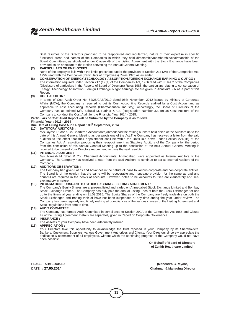Brief resumes of the Directors proposed to be reappointed and regularized, nature of their expertise in specific functional areas and names of the Companies in which they hold directorship/membership/chairmanship of the Board Committees, as stipulated under Clause 49 of the Listing Agreement with the Stock Exchange have been provided as an annexure to the Notice convening the Annual General Meeting.

**(7) PARTICULARS OF EMPLOYEES :** None of the employee falls within the limits prescribed under the provision of Section 217 (2A) of the Companies Act, 1956, read with the Companies(Particulars of Employees) Rules,1975 as amended.

#### **(8) CONSERVATION OF ENERGY,TECHNOLOGY ABSORPTION,FOREIGN EXCHANGE EARINING & OUT GO :**

The information required under Section 217 (1) (e) of the Companies Act, 1956 read with Rules 2 of the Companies (Disclosure of particulars in the Reports of Board of Directors) Rules 1988, the particulars relating to conservation of Energy, Technology Absorption, Foreign Exchange outgo/ earnings etc.are given in Annexure - A as a part of this Report.

#### **(9) COST AUDITOR :**

In terms of Cost Audit Order No. 52/26/CAB/2010 dated 06th November, 2012 issued by Ministry of Corporate Affairs (MCA), the Company is required to get its Cost Accounting Records audited by a Cost Accountant, as applicable to cost Accounting Records (Pharmaceutical Industry). Accordingly, the Board of Directors of the Company has ap-pointed M/s. Babulal M. Parihar & Co. (Registration Number 32049) as Cost Auditors of the Company to conduct the Cost Audit for the Financial Year 2014 - 2015.

**Particulars of Cost Audit Report will be Submited by the Company is as follows.**

#### **Financial Year : 2013 - 2014**

#### **Due Date of Filling Cost Audit Report : 30th September, 2014**

#### **(10) SATUTORY AUDITORS :**

M/s.Jayesh R.Mor & Co.Chartered Accountants,Ahmedabad,the retiring auditors hold office of the Auditors up to the date of this Annual General Meeting as per provisions of the Act.The Company has received a letter from the said auditors to the effect that their appointment shall be within the limits laid down under Section 224(1B) of the Companies Act. A resolution proposing their re-appointment as Statutory Auditors of the Company for the period from the conclusion of this Annual General Meeting up to the conclusion of the next Annual General Meeting is required to be passed.Your Directors recommend to pass the said resolution.

#### **(11) INTERNAL AUDITORS :**

M/s. Nimesh M. Shah & Co., Chartered Accountants, Ahmedabad, were appointed as Internal Auditors of the Company. The Company has received a letter from the said Auditors to continue to act as Internal Auditors of the Company.

#### **(12) AUDITORS OBSERVATION :**

The Company had given Loans and Advances in the nature of loans to various corporate and non-corporate entities. The Board is of the opinion that the same will be recoverable and hence,no provision for the same as bad and doubtful are required in the books of accounts. However, notes to be Accounts to itself are clarificatory and self explanatory in nature.

#### **(13) INFORMATION PURSUANT TO STOCK EXCHANGE LISITING AGREEMENT :**

The Company's Equity Shares are at present listed and traded on Ahmedabad Stock Exchange Limited and Bombay Stock Exchange Limited. The Company has duly paid the annual Listing Fees of both the Stock Exchanges for and up to the financial year ending on 31.03.2015. The Equity Shares of the Company are freely tradeable on both the Stock Exchanges and trading their of have not been suspended at any time during the year under review. The Company has been regularly and timely making all compliances of the various clauses of the Lisiting Agreement and SEBI Regulations from time to time.

#### **(14) AUDIT COMMITTEE :**

The Company has formed Audit Committee in compliance to Section 292A of the Companies Act,1956 and Clause 49 of the Listing Agreement. Details are separately given in Report on Corporate Governance.

#### **(15) INSURANCE :**

The Assests of your Company have been adequately insured.

#### **(16) APPRECIATION :**

Your Directors take this opportunity to acknowledge the trust reposed in your Company by its Shareholders, Bankers, Customers, Suppliers, various Government Authorities and Clients. Your Directors sincerely appreciate the dedication & commitment of all employees, without which the continuing progress of the Company would not have been possible.

**On Behalf of Board of Directors of Zenith Healthcare Limited**

**DATE : 27.05.2014**

**PLACE : AHMEDABAD (Mahendra C.Raycha) Chairman & Managing Director**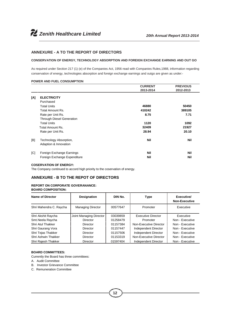#### **ANNEXURE - A TO THE REPORT OF DIRECTORS**

#### **CONSERVATION OF ENERGY, TECHNOLOGY ABSORPTION AND FOREIGN EXCHANGE EARNING AND OUT GO**

As required under Section 217 (1) (e) of the Companies Act, 1956 read with Companies Rules,1988, information regarding conservation of energy, technologies absorption and foreign exchange earnings and outgo are given as under:-

#### **POWER AND FUEL CONSUMPTION**

|     |                                  | <b>CURRENT</b> | <b>PREVIOUS</b> |  |
|-----|----------------------------------|----------------|-----------------|--|
|     |                                  | 2013-2014      | 2012-2013       |  |
| [A] | <b>ELECTRICITY</b>               |                |                 |  |
|     | Purchased                        |                |                 |  |
|     | <b>Total Units</b>               | 46880          | 50450           |  |
|     | Total Amount Rs.                 | 410242         | 389105          |  |
|     | Rate per Unit Rs.                | 8.75           | 7.71            |  |
|     | <b>Through Diesel Generation</b> |                |                 |  |
|     | <b>Total Units</b>               | 1120           | 1092            |  |
|     | Total Amount Rs.                 | 32409          | 21927           |  |
|     | Rate per Unit Rs.                | 28.94          | 20.10           |  |
| [B] | Technology Absorption,           | Nil            | <b>Nil</b>      |  |
|     | Adaption & Innovation            |                |                 |  |
| [C] | Foreign Exchange Earnings        | Nil            | <b>Nil</b>      |  |
|     | Foreign Exchange Expenditure     | Nil            | Nil             |  |

#### **COSERVATION OF ENERGY:**

The Company continued to accord high priority to the coservation of energy.

#### **ANNEXURE - B TO THE REPOT OF DIRECTORS**

#### **REPORT ON CORPORATE GOVERANANCE:**

| Name of Director        | Designation              | DIN No.  | Type                   | Executive/<br><b>Non-Executive</b> |
|-------------------------|--------------------------|----------|------------------------|------------------------------------|
| Shri Mahendra C. Raycha | <b>Managing Director</b> | 00577647 | Promoter               | Executive                          |
| Shri Akshit Raycha      | Joint Managing Director  | 03039859 | Executive Director     | Executive                          |
| Smt.Neela Raycha        | Director                 | 01258479 | Promoter               | Non - Executive                    |
| Shri Atul Thakker       | Director                 | 01157384 | Non-Executive Director | Non - Executive                    |
| Shri Gaurang Vora       | Director                 | 01157447 | Independent Director   | Non - Executive                    |
| Shri Tejas Thakker      | Director                 | 01157506 | Independent Director   | Non - Executive                    |
| Shri Ashwin Thakker     | Director                 | 01153319 | Non-Executive Director | Non - Executive                    |
| Shri Raiesh Thakker     | <b>Director</b>          | 01597404 | Independent Director   | Non - Executive                    |

#### **BOARD COMMITTEES:**

- Currently the Board has three committees:
- A. Audit Committee
- B. Investor Grievance Committee
- C. Remuneration Committee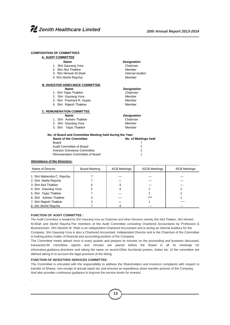#### **COMPOSITION OF COMMITTEES**

| A. AUDIT COMMITTEE                                       |                             |
|----------------------------------------------------------|-----------------------------|
| <b>Name</b>                                              | <b>Designation</b>          |
| 1. Shri Gaurang Vora                                     | Chairman                    |
| 2. Shri Atul Thakker                                     | Member                      |
| 3. Shri Nimesh M.Shah                                    | <b>Internal Auditor</b>     |
| 4. Shri Akshit Raycha                                    | Member                      |
| <b>B. INVESTOR GRIEVANCE COMMITTEE</b>                   |                             |
| <b>Name</b>                                              | <b>Designation</b>          |
| 1. Shri Tejas Thakker                                    | Chairman                    |
| 2. Shri Gaurang Vora                                     | Member                      |
| 3. Shri Prashant R. Gupta                                | Member                      |
| 4. Shri Rajesh Thakker                                   | Member                      |
| <b>C. REMUNERATION COMMITTEE</b>                         |                             |
| <b>Name</b>                                              | <b>Designation</b>          |
| 1. Shri Ashwin Thakker                                   | Chairman                    |
| 2. Shri Gaurang Vora                                     | Member                      |
| 3. Shri Tejas Thakker                                    | Member                      |
| No. of Board and Committee Meeting held during the Year: |                             |
| <b>Name of the Committee</b>                             | <b>No. of Meetings held</b> |
| Board                                                    |                             |
| Audit Committee of Board                                 | 4                           |

# Investor Grievance Committee 2 Remuneration Committee of Board 1

#### **Attendance of the Directors:**

| Name of Director           | <b>Board Meeting</b> | <b>ACB Meetings</b> | <b>IGCB Meetings</b> | <b>RCB Meetings</b> |
|----------------------------|----------------------|---------------------|----------------------|---------------------|
| 1. Shri Mahendra C. Raycha |                      |                     |                      |                     |
| 2. Smt. Neela Raycha       |                      |                     |                      |                     |
| 3. Shri Atul Thakker       |                      |                     |                      |                     |
| 4. Shri Gaurang Vora       |                      |                     |                      |                     |
| 5. Shri Tejas Thakker      |                      |                     |                      |                     |
| 6. Shri Ashwin Thakker     |                      |                     |                      |                     |
| 7. Shri Rajesh Thakker     |                      |                     |                      |                     |
| 8. shri Akshit Raycha      |                      |                     |                      |                     |

#### **FUNCTION OF AUDIT COMMITTEE :**

.

The Audit Committee is headed by Shri Gaurang Vora as Chairman and other Directors namely Shri Atul Thakker, Shri Nimesh M.Shah and Akshit Raycha.The members of the Audit Committee consisting Chartered Accountants by Profession & Businessmen. Shri Nimesh M. Shah is an independent Chartered Accountant and is acting as Internal Auditors for the Company. Shri Gaurang Vora is also a Chartered Accountant, Independent Director and is the Chairman of the Committee is looking policy matter of financial and accounting position of the Company.

The Committee meets atleast once in every quarter and prepare its minutes on the proceeding and business discussed, transacted.All committee reports and minutes are placed before the Board in all its meetings for information,guidance,directions and taking the same on record.Other functional powers, duties etc. of the committee are defined taking in to account the legal provision of the listing.

#### **FUNCTION OF INVESTORS SERVICES COMMITTEE:**

The Committee is entrusted with the responsibility to address the Shareholders and investors complaints with respect to transfer of Shares, non-receipt of annual report etc and ensures an expeditious share transfer process of the Company, And also provides continuous guidance to improve the service levels for investor.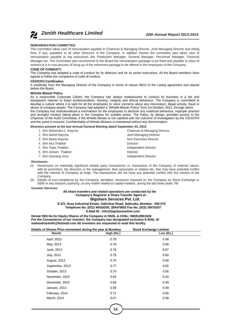*Zenith Healthcare Limited 20th Annual Report 2013-2014*

#### **REMUNERATION COMMITTEE:**

This committee takes care of remuneration payable to Chairman & Managing Director, Joint Managing Director and sitting fees, if any, payables to all other Directors of the Company. In addition thereto the committee also takes care of remuneration payable to top executives like Production Manager, General Manager, Personnel Manager, Financial Manager etc. The Committee also recommend to the Board the remuneration package to be fixed and payable to class of workers & is in now process of fixing up of the retirement package to be offered to the employees of the Company.

#### **CODE OF CONDUCT:**

The Company has adopted a code of conduct for its directors and for its senior executives. All the Board members have agreed to follow the compliance of code of conduct.

#### **CEO/CFO Certification**

A certificate from the Managing Director of the Company in terms of clause 49(V) of the Listing agreement was placed before the Board.

#### **Whistle Blower Policy**

As a responsible Corporate Citizen, the Company has always endeavoured to conduct its business in a fair and transparent manner to foster professionalism, honesty, integrity and ethical behaviour. The Company is committed to develop a culture where it is safe for all the employees to voice concerns about any misconduct, illegal activity, fraud or abuse of company assets. The Company had adopted a "Whistle Blower Policy" from 1st October, 2011, through which the Company has institutionalized a mechanism for the employees to disclose any unethical behaviour, improper practice and wrongful conduct taking place in the Company for suitable action. The Policy, by design, provides access to the Chairman of the Audit Committee, if the Whistle Blower is not satisfied with the outcome of investigation by the CEO/CFO and the same is ensured. Confidentiality of Whistle Blowers is maintained without any discrimination.

#### **Directors present at the last Annual General Meeting dated September 24, 2013**

| 1. Shri Mahendra C. Raycha | Chairman & Managing Director |
|----------------------------|------------------------------|
| 2. Shri Akshit Raycha      | Joint Managing Director      |
| 3. Smt. Neela Raycha       | Non Executive Director       |
| 4. Shri Atul Thakker       | Director                     |
| 5. Shri Tejas Thakker      | Independent Director         |
| 6. Shri Ashwin Thakker     | <b>Director</b>              |
| 7. Shri Gaurang Vora       | Independent Director         |

#### **Disclosure:**

- (I) Disclosures on materially significant related party transactions i.e. transaction of the Company of material nature, with its promoters, the directors or the management, their associates or relative etc. that may have potential conflict with the interest of Company at large. The transactions did not have any potential conflict with the interest of the Company.
- (ii) Details of non-compliance by the Company, penalties, structures imposed on the Company by Stock Exchange or SEBI or any statutory authority, on any matter related to capital markets, during the last three years: Nil

#### **Investor Services:**

#### **All share transfers and related operations are conducted by the Company's Registrar & Share Transfer Agent at : Bigshare Services Pvt. Ltd.**

**E-2/3, Ansa Industrial Estate, Sakivihar Road, Sakinaka, Mumbai - 400 072 Telephone No. (022) 40430200, 284470652 Fax No. (022) 28475207 E-Mail ID - info@bigshareonline.com**

**Demat ISIN No.for Equity Shares of the Company in NSDL & CDSL: INE812B01026 For the Convenience of our investor, the Company has designated exclusive E-MAIL ID mahendrazenith@hotmail.com All investors are requested to avail this facility.**

| Details of Shares Price movement during the year at Bombay |            | <b>Stock Exchange Limited.</b> |  |  |
|------------------------------------------------------------|------------|--------------------------------|--|--|
| <b>Month</b>                                               | High (Rs.) | Low (Rs.)                      |  |  |
| April, 2013                                                | 0.78       | 0.48                           |  |  |
| May, 2013                                                  | 0.79       | 0.58                           |  |  |
| June, 2013                                                 | 0.78       | 0.67                           |  |  |
| July, 2013                                                 | 0.79       | 0.60                           |  |  |
| August, 2013                                               | 0.75       | 0.58                           |  |  |
| September, 2013                                            | 0.77       | 0.65                           |  |  |
| October, 2013                                              | 0.70       | 0.56                           |  |  |
| November, 2012                                             | 0.64       | 0.43                           |  |  |
| December, 2013                                             | 0.68       | 0.49                           |  |  |
| January, 2014                                              | 0.59       | 0.49                           |  |  |
| February, 2014                                             | 0.71       | 0.56                           |  |  |
| March, 2014                                                | 0.67       | 0.58                           |  |  |
|                                                            |            |                                |  |  |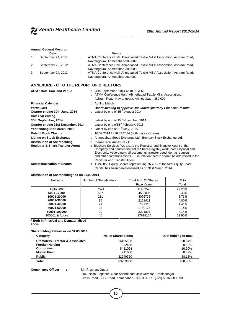#### **Annual General Meeting:**

|    | Date               | Venue                                                                                                       |
|----|--------------------|-------------------------------------------------------------------------------------------------------------|
| 1. | September 24, 2011 | ATMA Conference Hall, Ahmedabad Textile Mills' Association, Ashram Road,                                    |
|    |                    | Navrangpura, Ahmedabad-380 009.                                                                             |
| 2. | September 25, 2012 | ATMA Conference Hall, Ahmedabad Textile Mills' Association, Ashram Road,<br>Navrangpura, Ahmedabad-380 009. |
|    |                    |                                                                                                             |
| 3. | September 24, 2013 | ATMA Conference Hall, Ahmedabad Textile Mills' Association, Ashram Road,<br>Navrangpura, Ahmedabad-380 009. |

#### **ANNEXURE - C TO THE REPORT OF DIRECTORS**

| <b>AGM: Date, Time and Venue</b>    | 26th September, 2014 at 10.00 A.M.<br>: ATMA Conference Hall, Ahmedabad Textile Mills' Association,<br>Ashram Road, Navrangpura, Ahmedabad - 380 009.                                                                                                                                                    |
|-------------------------------------|----------------------------------------------------------------------------------------------------------------------------------------------------------------------------------------------------------------------------------------------------------------------------------------------------------|
| <b>Financial Calender</b>           | : April to March                                                                                                                                                                                                                                                                                         |
| <b>Particulars</b>                  | <b>Board Meeting to approve Unaudited Quarterly Financial Results</b>                                                                                                                                                                                                                                    |
| Quarter ending 30th June, 2014      | : Latest by end of $15th$ August 2014                                                                                                                                                                                                                                                                    |
| <b>Half Year ending</b>             |                                                                                                                                                                                                                                                                                                          |
| 30th September, 2014                | : Latest by end of $15th$ November, 2014                                                                                                                                                                                                                                                                 |
| Quarter ending 31st December, 2014: | Latest by end of 15 <sup>th</sup> February, 2015                                                                                                                                                                                                                                                         |
| Year ending 31st March, 2015        | : Latest by end of $31st$ May, 2015                                                                                                                                                                                                                                                                      |
| Date of Book Closure                | : 16.09.2014 to 26.09.2014 (both days inclusive)                                                                                                                                                                                                                                                         |
| Listing on Stock Exchange           | Ahmedabad Stock Exchange Ltd., Bombay Stock Exchange Ltd.                                                                                                                                                                                                                                                |
| Distribution of Shareholding        | Please refer Annexure - C                                                                                                                                                                                                                                                                                |
| Registrar & Share Transfer Agent    | : Bigshare Services Pvt. Ltd. is the Registrar and Transfer Agent of the<br>Company and handles the entire Share Registey work, both Physical and<br>Electronic. Accordingly, all documents, transfer deed, demat requests<br>and other communications<br>in relation thereto should be addressed to the |
| <b>Dematerialisation of Shares</b>  | Registrar and Transfer Agent.<br>: 41246850 Equity Shares representing 76.75% of the total Equity Share                                                                                                                                                                                                  |
|                                     | Capital has been dematerialised as on 31st March, 2014.                                                                                                                                                                                                                                                  |

#### **Distribution of Shareholding\* as on 31.03.2014**

| Holdings                                                                                            | Number of Shareholders                     | Total Amt. Of Shares<br>Face Value                                        | $%$ to<br>Total                                              |
|-----------------------------------------------------------------------------------------------------|--------------------------------------------|---------------------------------------------------------------------------|--------------------------------------------------------------|
| Upto 5000<br>5001-10000<br>10001-20000<br>20001-30000<br>30001-40000<br>40001-50000<br>50001-100000 | 7574<br>557<br>211<br>85<br>21<br>25<br>29 | 11932570<br>4532096<br>3076735<br>2151411<br>756023<br>1150174<br>2221827 | 22.20%<br>8.43%<br>5.73%<br>4.00%<br>1.41%<br>2.14%<br>4.14% |
| 100001 & Above                                                                                      | 45                                         | 27918164                                                                  | 51.95%                                                       |

**\* Both in Physical and Dematerialised Form.**

#### **Shareholding Pattern as on 31.03.2014**

| Category                                    | No. of Shareholders | % of holding to total |
|---------------------------------------------|---------------------|-----------------------|
| <b>Promoters, Director &amp; Associates</b> | 16465188            | 30.64%                |
| <b>Foreign Holding</b>                      | 332468              | 0.62%                 |
| <b>Corporates</b>                           | 5481024             | 10.20%                |
| <b>Mutual Fund</b>                          | 211000              | 0.39%                 |
| <b>Public</b>                               | 31249320            | 58.15%                |
| Total                                       | 53739000            | 100.00%               |

**Compliance Officer :** Mr. Prashant Gupta

504, Iscon Elegance, Near Ananddham Jain Derasar, Prahladnagar Cross Road, S. G. Road, Ahmedabad - 380 051. Tel. (079) 66168889 / 90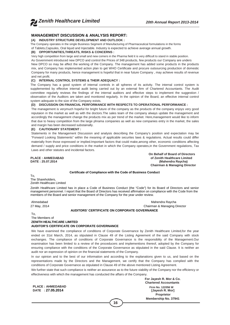#### **MANAGEMENT DISCUSSION & ANALYSIS REPORT:**

#### **(A) INDUSTRY STRUCTURE DEVELOPMENT AND OUTLOOK :**

The Company operates in the single Business Segment of Manufacturing of Pharmaceutical formulations in the forms

of Tablets,Capsules, Oral liquid and Injectable. Industry is expected to achieve average annual growth.

#### **(B) OPPORTUNITIES,THREATS, RISKS & CONCERNS :**

Very high competition from large and small and new comers in the Pharma field it is very difficult to stand in stable position.

As Government introduced new DPCO and control the Prices of 348 products, few products our Company are unders New DPCO so may be affect the working of the Company. The management has added some products in the products mix, and Company has implemented action plan to get WHO Certificate and procure outsourcing production of domestic Company for many products, hence management is hopeful that in near future Company , may achieve results of revenue and net profit.

#### **(C) INTERNAL CONTROL SYSTEMS & THEIR ADEQUACY :**

The Company has a good system of internal controls in all spheres of its activity. The internal control system is supplemented by effective internal audit being carried out by an external firm of Chartered Accountants. The Audit committee regularly reviews the findings of the internal auditors and effective steps to implement the suggestion / observation of the Auditors are taken and monitored regularly. In the opinion of the Board, an effective internal control system adequate to the size of the Company exists.

#### **(D) DISCUSSION ON FINANCIAL PERFORMANCE WITH RESPECTS TO OPERATIONAL PERFORMANCE :**

The management is verymuch hopeful for bright future of the company as the products of the company enjoys very good reputaion in the market as well as with the doctors.The sales team of the company always update the management and accordingly the management change the products mix as per trend of the market. Here,management would like to inform that due to heavy competition from the large phrama companies as well as new companies entry in the market, the sales and margin has been decreased substainally.

#### **(E) CAUTIONARY STATEMENT :**

Statements in the Management Discussion and analysis describing the Company's position and expectation may be "Forward Looking Statements" within the meaning of applicable securites laws & regulations. Actual results could differ materially from those expressed or implied.Important factors that could make,among other, economic conditions affecting demand / supply and price conditions in the market in which the Company operates,in the Government regulations, Tax Laws and other statutes and incidental factors.

**On Behalf of Board of Directors PLACE : AHMEDABAD of Zenith Healthcare Limited (Mahendra Raycha) Chairman & Managing Director**

#### **Certificate of Compliance with the Code of Business Conduct**

To, The Shareholders, Zenith Healthcare Limited

Zenith Healthcare Limited has in place a Code of Business Conduct (the "Code") for its Board of Directors and senior management personnel. I report that the Board of Directors has received affirmation on compliance with the Code from the members of the Board and senior management of the Company for the year under review.

Ahmedabad Mahendra Raycha 27 May, 2014 Chairman & Managing Director

#### **AUDITORS' CERTIFICATE ON CORPORATE GOVERNANCE**

To, The Members of **ZENITH HEALTHCARE LIMITED AUDITOR'S CERTIFICATE ON CORPORATE GOVERNANCE**

We have examined the compliance of conditions of Corporate Governance by Zenith Healthcare Limited, for the year ended on 31st March, 2014, as stipulated in Clause 49 of the Listing Agreement of the said Company with stock exchanges. The compliance of conditions of Corporate Governance is the responsiblity of the Management.Our examination has been limited to a review of the proceducers and implementions thereof, adopted by the Company for ensuring compliance with the conditions of the Corporate Governance as stipulated in the said Clause. It is neither an audit nor an expression of opinion on the financial statements of the Company.

In our opinion and to the best of our information and according to the explanations given to us, and based on the representations made by the Directors and the Management, we certify that the Company has complied with the conditions of Corporate Governance as stipulated in Clause 49 of the above mentioned Listing Agreement.

We further state that such compliance is neither an assurance as to the future viability of the Company nor the efficiency or effectiveness with which the management has conducted the affairs of the Company.

**PLACE : AHMEDABAD Firm No. 122056 W DATE : 27.05.2014 [Jayesh R. Mor]**

**For Jayesh R. Mor & Co. Chartered Accountants Proprietor Membership No. 37941**

**16**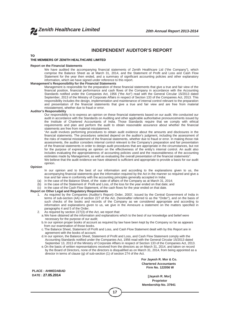#### **INDEPENDENT AUDITOR'S REPORT**

#### **TO**

#### **THE MEMBERS OF ZENITH HEALTHCARE LIMITED**

#### **Report on the Financial Statements**

We have audited the accompanying financial statements of Zenith Healthcare Ltd ("the Company"), which comprise the Balance Sheet as at March 31, 2014, and the Statement of Profit and Loss and Cash Flow Statement for the year then ended, and a summary of significant accounting policies and other explanatory information, which we have signed under reference to this report.

#### **Management's Responsibility for the Financial Statements**

Management is responsible for the preparation of these financial statements that give a true and fair view of the financial position, financial performance and cash flows of the Company in accordance with the Accounting Standards notified under the Companies Act, 1956 ("the Act") read with the General Circular 15/2013 dated September, 2013 of the Ministry of Corporate Affairs in respect of Section 133 of the Companies Act, 2013. This responsibility includes the design, implementation and maintenance of internal control relevant to the preparation and presentation of the financial statements that give a true and fair view and are free from material misstatement, whether due to fraud or error.

#### **Auditor's Responsibility**

opinion.

Our responsibility is to express an opinion on these financial statements based on our audit. We conducted our audit in accordance with the Standards on Auditing and other applicable authoritative pronouncements issued by the Institute of Chartered Accountants of India. Those Standards require that we comply with ethical requirements and plan and perform the audit to obtain reasonable assurance about whether the financial statements are free from material misstatement.

"An audit involves performing procedures to obtain audit evidence about the amounts and disclosures in the financial statements. The procedures selected depend on the auditor's judgment, including the assessment of the risks of material misstatement of the financial statements, whether due to fraud or error. In making those risk assessments, the auditor considers internal control relevant to the Company's preparation and fair presentation of the financial statements in order to design audit procedures that are appropriate in the circumstances, but not for the purpose of expressing an opinion on the effectiveness of the entity's internal control. An audit also includes evaluating the appropriateness of accounting policies used and the reasonableness of the accounting estimates made by Management, as well as evaluating the overall presentation of the financial statements". We believe that the audit evidence we have obtained is sufficient and appropriate to provide a basis for our audit

#### **Opinion**

In our opinion and to the best of our information and according to the explanations given to us, the accompanying financial statements give the information required by the Act in the manner so required and give a true and fair view in conformity with the accounting principles generally accepted in India:

- 
- (a) in the case of the Balance Sheet, of the state of affairs of the Company as at March 31, 2014;<br>(b) in the case of the Statement of Profit and Loss, of the loss for the year ended on that date: and in the case of the Statement of Profit and Loss, of the loss for the year ended on that date; and
- $(c)$  in the case of the Cash Flow Statement, of the cash flows for the year ended on that date.

#### **Report on Other Legal and Regulatory Requirements**

- 1. As required by the Companies (Auditor's Report) Order, 2003', issued by the Central Government of India in terms of sub-section (4A) of section 227 of the Act, (hereinafter referred to as the "Order"), and on the basis of such checks of the books and records of the Company as we considered appropriate and according to information and explanations given to us, we give in the Annexure a statement on the matters specified in paragraphs 4 and 5 of the Order.
- 2. As required by section 227(3) of the Act, we report that:
	- a.We have obtained all the information and explanations which to the best of our knowledge and belief were necessary for the purpose of our audit;
	- b.In our opinion proper books of account as required by law have been kept by the Company so far as appears from our examination of those books.
	- c.The Balance Sheet, Statement of Profit and Loss, and Cash Flow Statement dealt with by this Report are in agreement with the books of account.
	- d.In our opinion, the Balance Sheet, Statement of Profit and Loss, and Cash Flow Statement comply with the Accounting Standards notified under the Companies Act, 1956 read with the General Circular 15/2013 dated September 13, 2013 of the Ministry of Corporate Affairs in respect of Section 133 of the Companies Act, 2013.
	- e.On the basis of written representations received from the directors as on March 31, 2014, and taken on record by the Board of Directors, none of the directors is disqualified as on March 31, 2014, from being appointed as a director in terms of clause (g) of sub-section (1) of section 274 of the Act.

**17**

**PLACE : AHMEDABAD DATE : 27.05.2014 [Jayesh R. Mor]**

**For Jayesh R. Mor & Co. Chartered Accountants Firm No. 122056 W**

**Proprietor Membership No. 37941**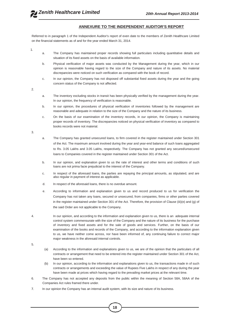#### **ANNEXURE TO THE INDEPENDENT AUDITOR'S REPORT**

Referred to in paragraph 1 of the Independent Auditor's report of even date to the members of Zenith Healthcare Limited on the financial statements as of and for the year ended March 31, 2014.

1.

- a. The Company has maintained proper records showing full particulars including quantitative details and situation of its fixed assets on the basis of available information.
- b. Physical verification of major assets was conducted by the Management during the year, which in our opinion is reasonable having regard to the size of the Company and nature of its assets. No material discrepancies were noticed on such verification as compared with the book of record.
- c. In our opinion, the Company has not disposed off substantial fixed assets during the year and the going concern status of the Company is not affected.

2.

- a. The inventory excluding stocks in transit has been physically verified by the management during the year. In our opinion, the frequency of verification is reasonable.
- b. In our opinion, the procedures of physical verification of inventories followed by the management are reasonable and adequate in relation to the size of the Company and the nature of its business.
- c. On the basis of our examination of the inventory records, in our opinion, the Company is maintaining proper records of inventory. The discrepancies noticed on physical verification of inventory as compared to books records were not material.

3.

- a. The Company has granted unsecured loans, to firm covered in the register maintained under Section 301 of the Act. The maximum amount involved during the year and year-end balance of such loans aggregated to Rs. 3.05 Lakhs and 3.05 Lakhs, respectively. The Company has not granted any secured/unsecured loans to Companies covered in the register maintained under Section 301 of the Act.
- b. In our opinion, and explanation given to us the rate of interest and other terms and conditions of such loans are not prima facie prejudicial to the interest of the Company.
- c. In respect of the aforesaid loans, the parties are repaying the principal amounts, as stipulated, and are also regular in payment of interest as applicable.
- d. In respect of the aforesaid loans, there is no overdue amount.
- e. According to information and explanation given to us and record produced to us for verification the Company has not taken any loans, secured or unsecured, from companies, firms or other parties covered in the register maintained under Section 301 of the Act. Therefore, the provision of Clause (iii)(e) and (g) of the said Order are not applicable to the Company.
- 4. In our opinion, and according to the information and explanation given to us, there is an adequate internal control system commensurate with the size of the Company and the nature of its business for the purchase of inventory and fixed assets and for the sale of goods and services. Further, on the basis of our examination of the books and records of the Company, and according to the information explanation given to us, we have neither come across, nor have been informed of, any continuing failure to correct major major weakness in the aforesaid internal controls.

- (a) According to the information and explanations given to us, we are of the opinion that the particulars of all contracts or arrangement that need to be entered into the register maintained under Section 301 of the Act, have been so entered.
- (b) In our opinion, according to the information and explanations given to us, the transactions made in of such contracts or arrangements and exceeding the value of Rupees Five Lakhs in respect of any during the year have been made at prices which having regard to the prevailing market prices at the relevant time.
- 6. The Company has not accepted any deposits from the public within the meaning of Section 58A, 58AA of the Companies Act rules framed there under.
- 7. In our opinion the Company has an internal audit system, with its size and nature of its business.

<sup>5.</sup>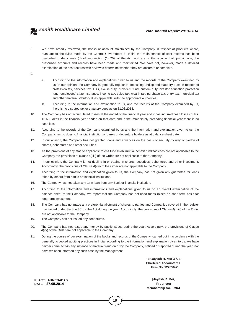8. We have broadly reviewed, the books of account maintained by the Company in respect of products where, pursuant to the rules made by the Central Government of India, the maintenance of cost records has been prescribed under clause (d) of sub-section (1) 209 of the Act, and are of the opinion that, prima facie, the prescribed accounts and records have been made and maintained. We have not, however, made a detailed examination of the cost records with a view to determine whether they are accurate or complete.

9.

- a. According to the information and explanations given to us and the records of the Company examined by us, in our opinion, the Company is generally regular in depositing undisputed statutory dues in respect of profession tax, services tax, TDS, excise duty, provident fund, custom duty investor education protection fund, employees' state insurance, income-tax, sales-tax, wealth-tax, purchase tax, entry tax, municipal tax and other material statutory dues applicable, with the appropriate authorities.
- b. According to the information and explanation to us, and the records of the Company examined by us, there is no disputed tax or statutory dues as on 31.03.2014.
- 10. The Company has no accumulated losses at the ended of the financial year and it has incurred cash losses of Rs. 16.60 Lakhs in the financial year ended on that date and in the immediately preceding financial year there is no cash loss.
- 11. According to the records of the Company examined by us and the information and explanation given to us, the Company has no dues to financial institution or banks or debenture holders as at balance sheet date.
- 12. In our opinion, the Company has not granted loans and advances on the basis of security by way of pledge of shares, debentures and other securities.
- 13. As the provisions of any statute applicable to chit fund /nidhi/mutual benefit fund/societies are not applicable to the Company the provisions of clause 4(xiii) of the Order are not applicable to the Company.
- 14. In our opinion, the Company is not dealing in or trading in shares, securities, debentures and other investment. Accordingly, the provisions of Clause 4(xiv) of the Order are not applicable to the Company.
- 15. According to the information and explanation given to us, the Company has not given any guarantee for loans taken by others from banks or financial institutions.
- 16. The Company has not taken any term loan from any Bank or financial institution.
- 17. According to the information and informations and explanations given to us on an overall examination of the balance sheet of the Company, we report that the Company has not used funds raised on short-term basis for long-term investment.
- 18. The Company has not made any preferential allotment of shares to parties and Companies covered in the register maintained under Section 301 of the Act during the year. Accordingly, the provisions of Clause 4(xviii) of the Order are not applicable to the Company.
- 19. The Company has not issued any debentures.
- 20. The Company has not raised any money by public issues during the year. Accordingly, the provisions of Clause 4(xx) of the Order are not applicable to the Company.
- 21. During the course of our examination of the books and records of the Company, carried out in accordance with the generally accepted auditing practices in India, according to the information and explanation given to us, we have neither come across any instance of material fraud on or by the Company, noticed or reported during the year, nor have we been informed any such case by the Management.

**For Jayesh R. Mor & Co. Chartered Accountants Firm No. 122056W**

**Membership No. 37941**

**PLACE : AHMEDABAD [Jayesh R. Mor] DATE : 27.05.2014** 

**19**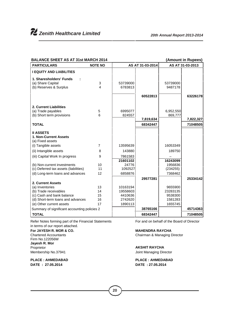| <b>BALANCE SHEET AS AT 31st MARCH 2014</b>                     |                | (Amount in Rupees) |                  |                    |                  |  |  |  |
|----------------------------------------------------------------|----------------|--------------------|------------------|--------------------|------------------|--|--|--|
| <b>PARTICULARS</b>                                             | <b>NOTE NO</b> |                    | AS AT 31-03-2014 |                    | AS AT 31-03-2013 |  |  |  |
| <b>I EQUITY AND LIABILITIES</b>                                |                |                    |                  |                    |                  |  |  |  |
| 1. Sharesholders' Funds                                        |                |                    |                  |                    |                  |  |  |  |
| (a) Share Capital                                              | 3              | 53739000           |                  | 53739000           |                  |  |  |  |
| (b) Reserves & Surplus                                         | 4              | 6783813            |                  | 9487178            |                  |  |  |  |
|                                                                |                |                    | 60522813         |                    | 63226178         |  |  |  |
| 2. Current Liabilities                                         |                |                    |                  |                    |                  |  |  |  |
| (a) Trade payables                                             | 5              | 6995077            |                  | 6,952,550          |                  |  |  |  |
| (b) Short term provisions                                      | 6              | 824557             |                  | 869,777            |                  |  |  |  |
|                                                                |                |                    | 7,819,634        |                    | 7,822,327        |  |  |  |
| <b>TOTAL</b>                                                   |                |                    | 68342447         |                    | 71048505         |  |  |  |
| <b>II ASSETS</b>                                               |                |                    |                  |                    |                  |  |  |  |
| 1. Non-Current Assets                                          |                |                    |                  |                    |                  |  |  |  |
| (a) Fixed assets                                               |                |                    |                  |                    |                  |  |  |  |
| (i) Tangible assets                                            | $\overline{7}$ | 13595639           |                  | 16053349           |                  |  |  |  |
| (ii) Intangible assets                                         | 8              | 143880             |                  | 189750             |                  |  |  |  |
| (iii) Capital Work In progress                                 | 9              | 7861583            |                  |                    |                  |  |  |  |
|                                                                |                | 21601102           |                  | 16243099           |                  |  |  |  |
| (b) Non-current investments                                    | 10             | 24776              |                  | 1956836            |                  |  |  |  |
| (c) Deferred tax assets (liabilities)                          | 11             | 1092527            |                  | (234255)           |                  |  |  |  |
| (d) Long-term loans and advances                               | 12             | 6858876            |                  | 7368462            |                  |  |  |  |
|                                                                |                |                    | 29577281         |                    | 25334142         |  |  |  |
| 2. Current Assets                                              |                |                    |                  |                    |                  |  |  |  |
| (a) Inventories                                                | 13             | 10163194           |                  | 9655900            |                  |  |  |  |
| (b) Trade receivables                                          | 14             | 19558603           |                  | 23283135           |                  |  |  |  |
| (c) Cash and bank balance<br>(d) Short-term loans and advances | 15<br>16       | 4410636<br>2742620 |                  | 9538300<br>1581283 |                  |  |  |  |
| (e) Other current assets                                       | 17             | 1890113            |                  | 1655745            |                  |  |  |  |
| Summary of significant accounting policies 2                   |                |                    | 38765166         |                    | 45714363         |  |  |  |
|                                                                |                |                    |                  |                    |                  |  |  |  |
| <b>TOTAL</b>                                                   |                |                    | 68342447         |                    | 71048505         |  |  |  |

Refer Notes forming part of the Financial Statements For and on behalf of the Board of Director in terms of our report attached.

**For JAYESH R. MOR & CO. MAHENDRA RAYCHA**<br>
Chartered Accountants **MAHENDRA RAYCHA**<br>
Chairman & Managing D Firm No.122056W **Jayesh R. Mor** Proprietor<br>
Membership No.37941<br>
Membership No.37941<br>
Membership No.37941

**PLACE : AHMEDABAD PLACE : AHMEDABAD DATE : 27.05.2014 DATE : 27.05.2014**

Chairman & Managing Director

Joint Managing Director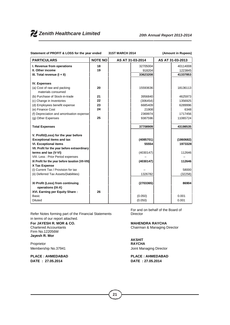# *Zenith Healthcare Limited 20th Annual Report 2013-2014*

| Statement of PROFIT & LOSS for the year ended                      |                | 31ST MARCH 2014 |                  | (Amount in Rupees) |  |  |
|--------------------------------------------------------------------|----------------|-----------------|------------------|--------------------|--|--|
| <b>PARTICULARS</b>                                                 | <b>NOTE NO</b> |                 | AS AT 31-03-2014 | AS AT 31-03-2013   |  |  |
| I. Revenue from operations                                         | 18             |                 | 32705004         | 40114008           |  |  |
| II. Other income                                                   | 19             |                 | 918204           | 1223845            |  |  |
| III. Total revenue $(I + II)$                                      |                |                 | 33623208         | 41337853           |  |  |
| <b>IV. Expenses</b>                                                |                |                 |                  |                    |  |  |
| (a) Cost of raw and packing<br>materials consumed                  | 20             |                 | 15593636         | 18136113           |  |  |
| (b) Purchase of Stock-in-trade                                     | 21             |                 | 3956840          | 4625973            |  |  |
| (c) Change in Inventories                                          | 22             |                 | (306454)         | 1356925            |  |  |
| (d) Employees benefit expense                                      | 23             |                 | 6685409          | 6289996            |  |  |
| (e) Finance Cost                                                   | 24             |                 | 21908            | 6348               |  |  |
| (f) Depreciation and amortisation expense                          |                |                 | 2369974          | 1717456            |  |  |
| (g) Other Expenses                                                 | 25             |                 | 9387596          | 11065724           |  |  |
| <b>Total Expenses</b>                                              |                |                 | 37708909         | 43198535           |  |  |
| V. Profit/(Loss) for the year before                               |                |                 |                  |                    |  |  |
| <b>Exceptional items and tax</b>                                   |                |                 | (4085701)        | (1860682)          |  |  |
| <b>VI. Exceptional items</b>                                       |                |                 | 55554            | 1973328            |  |  |
| VII. Profit for the year before extraordinary                      |                |                 |                  |                    |  |  |
| terms and tax (V-VI)                                               |                |                 | (4030147)        | 112646             |  |  |
| VIII. Less : Prior Period expenses                                 |                |                 |                  |                    |  |  |
| IX Profit for the year before taxation (VII-VIII)<br>X Tax Expense |                |                 | (4030147)        | 112646             |  |  |
| (i) Current Tax / Provision for tax                                |                |                 |                  | 58000              |  |  |
| (ii) Deferred Tax Assets/(liabilities)                             |                |                 | 1326782          | (32258)            |  |  |
|                                                                    |                |                 |                  |                    |  |  |
| XI Profit (Loss) from continuing                                   |                |                 | (2703365)        | 86904              |  |  |
| operations (IX-X)                                                  |                |                 |                  |                    |  |  |
| XVI. Earning per Equity Share:<br><b>Basic</b>                     | 26             |                 |                  | 0.001              |  |  |
|                                                                    |                |                 | (0.050)          |                    |  |  |
| <b>Diluted</b>                                                     |                |                 | (0.050)          | 0.001              |  |  |

Refer Notes forming part of the Financial Statements in terms of our report attached.

#### **For JAYESH R. MOR & CO. MAHENDRA RAYCHA** Chartered Accountants Chairman & Managing Director Firm No.122056W **Jayesh R. Mor**

Proprietor Membership No.37941 **Membership No.37941** Joint Managing Director

**DATE : 27.05.2014 DATE : 27.05.2014**

For and on behalf of the Board of Director

**AKSHIT RAYCHA**

# **PLACE : AHMEDABAD PLACE : AHMEDABAD**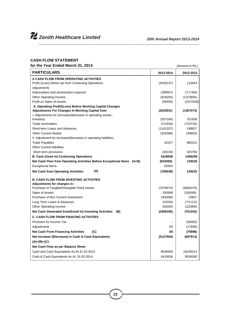#### **CASH FLOW STATEMENT**

**for the Year Ended March 31, 2014** (Amount in Rs.)

| <b>PARTICULARS</b>                                                     | 2013-2014          | 2012-2013 |
|------------------------------------------------------------------------|--------------------|-----------|
| A CASH FLOW FROM OPERATING ACTIVITIES                                  |                    |           |
| Profit /(Loss) before tax from Continuing Operations                   | (4030147)          | 112644    |
| Adjustments                                                            |                    |           |
| Depreciation and amortisation expense                                  | 2369974            | 1717456   |
| Other Operating Income                                                 | (918204)           | (1223845) |
| Profit on Sales of Assets                                              | (55554)            | (1973328) |
| A. Operating Profit/(Loss) Before Working Capital Changes              |                    |           |
| Adjustments For Changes In Working Capital from                        | (2633931)          | (1367073) |
| I. Adjustments for (increase)/decrease in operating assets :           |                    |           |
| Inventory                                                              | (507294)           | 751938    |
| Trade receivables                                                      | 3724530            | (710734)  |
| Short-term Loans and Advances                                          | (1161337)          | 198837    |
| <b>Other Current Assets</b>                                            | (234368)           | (49603)   |
| II. Adjustment for increase/(decrease) in operating liabilities :      |                    |           |
| <b>Trade Payables</b>                                                  | 42527              | 980101    |
| <b>Other Current liabilities</b>                                       |                    | 325760    |
| Short-term provisions                                                  | (45220)<br>1818838 |           |
| B. Cash (Used in) Continuing Operations                                |                    | 1496299   |
| Net Cash Flow from Operating Activities Before Exceptional Items (A+B) | (815093)           | 129226    |
| <b>Exceptional Items</b>                                               | 55554              |           |
| (A)<br><b>Net Cash from Operating Activities</b>                       | (759539)           | 129226    |
| <b>B. CASH FLOW FROM INVESTING ACTIVITIES</b>                          |                    |           |
| Adjustments for changes in :                                           |                    |           |
| Purchase of Tangible/Intangible Fixed Assets                           | (7978973)          | (6946370) |
| Sales of Assets                                                        | 250938             | 2205000   |
| Purchase of Non Current Investment:                                    | 1932060            | 14857     |
| Long Term Loans & Advances                                             | 509586             | 2751226   |
| <b>Other Operating Income</b>                                          | 918204             | 1223845   |
| Net Cash Generated from/(Used In) Investing Activities (B)             | (4368185)          | (751442)  |
| <b>C. CASH FLOW FROM FINACING ACTIVITIES</b>                           |                    |           |
| Provision for Income Tax                                               |                    | (58000)   |
| Adjustments                                                            | 60                 | (17698)   |
| <b>Net Cash From Financing Activities</b><br>(C)                       | 60                 | (75698)   |
| Net Increase /(Decrease) in Cash & Cash Equivalents                    | (5127664)          | (697914)  |
| $(A)+(B)+(C)$                                                          |                    |           |
|                                                                        |                    |           |
| Net Cash Flow as per Balance Sheet                                     |                    |           |
| Cash and Cash Equivalents As At 31.03.2013                             | 9538300            | 10236214  |
| Cash & Cash Equivalents As At. 31.03.2014                              | 4410636            | 9538300   |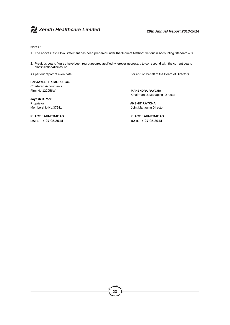#### **Notes :**

- 1. The above Cash Flow Statement has been prepared under the 'Indirect Method' Set out in Accounting Standard 3.
- 2. Previous year's figures have been regrouped/reclassified wherever necessary to correspond with the current year's classification/disclosure.

As per our report of even date For and on behalf of the Board of Directors

**For JAYESH R. MOR & CO.** Chartered Accountants Firm No.122056W **MAHENDRA RAYCHA**

**Jayesh R. Mor**

**PLACE : AHMEDABAD PLACE : AHMEDABAD**

Chairman & Managing Director

Proprietor **AKSHIT RAYCHA** Membership No.37941 **Managing Director** Joint Managing Director

**DATE : 27.05.2014 DATE : 27.05.2014**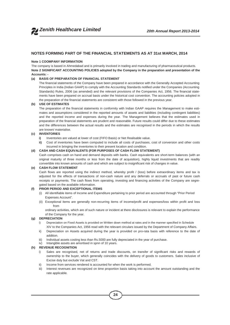

#### **NOTES FORMING PART OF THE FINANCIAL STATEMENTS AS AT 31st MARCH, 2014**

#### **Note 1 COOMPANY INFORMATION**

The company is based in Ahmedabad and is primarily involved in trading and manufacturing of pharmaceutical products. **Note 2 SIGNIFICANT ACCOUNTING POLICIES adopted by the Company in the preparation and presentation of the Accounts: -**

#### **(a) BASIS OF PREPARATION OF FINANCIAL STATEMENT**

The financial statements of the Company have been prepared in accordance with the Generally Accepted Accounting Principles in India (Indian GAAP) to comply with the Accounting Standards notified under the Companies (Accounting Standards) Rules, 2006 (as amended) and the relevant provisions of the Companies Act, 1956. The financial state ments have been prepared on accrual basis under the historical cost convention. The accounting policies adopted in the preparation of the financial statements are consistent with those followed in the previous year.

#### **(b) USE OF ESTIMATES**

The preparation of the financial statements in conformity with Indian GAAP requires the Management to make esti mates and assumptions considered in the reported amounts of assets and liabilities (including contingent liabilities) and the reported income and expenses during the year. The Management believes that the estimates used in preparation of the financial statements are prudent and reasonable. Future results could differ due to these estimates and the differences between the actual results and the estimates are recognised in the periods in which the results are known/ materialise.

#### **(c) INVENTORIES**

- **i)** Inventories are valued at lower of cost (FIFO Basis) or Net Realisable value.
- **ii)** Cost of inventories have been computed to include all costs of purchases, cost of conversion and other costs incurred in bringing the inventories to their present location and condition.

#### **(d) CASH AND CASH EQUIVALENTS (FOR PURPOSES OF CASH FLOW STATEMENT)**

Cash comprises cash on hand and demand deposits with banks. Cash equivalents are short-term balances (with an original maturity of three months or less from the date of acquisition), highly liquid investments that are readily convertible into known amounts of cash and which are subject to insignificant risk of changes in value.

#### **(e) CASH FLOW STATEMENT**

Cash flows are reported using the indirect method, whereby profit / (loss) before extraordinary items and tax is adjusted for the effects of transactions of non-cash nature and any deferrals or accruals of past or future cash receipts or payments. The cash flows from operating, investing and financing activities of the Company are segre gated based on the available information.

#### **(f) PRIOR PERIOD AND EXCEPTIONAL ITEMS**

- (i) All identifiable items of Income and Expenditure pertaining to prior period are accounted through "Prior Period Expenses Account".
- (ii) Exceptional items are generally non-recurring items of income/profit and expenses/loss within profit and loss from

ordinary activities, which are of such nature or incident at there disclosures is relevant to explain the performance of the Company for the year.

#### **(g) DEPRECIATION**

- i) Depreciation on Fixed Assets is provided on Written down method at rates and in the manner specified in Schedule XIV to the Companies Act, 1956 read with the relevant circulars issued by the Department of Company Affairs.
- ii) Depreciation on Assets acquired during the year is provided on pro-rata basis with reference to the date of addition.
- iii) Individual assets costing less than Rs.5000 are fully depreciated in the year of purchase.
- iv) Intangible assets are amortised in spnn of 10 years.

#### **(h) REVENUE RECOGNITION**

- i) Sales are recognised, net of returns and trade discounts, on transfer of significant risks and rewards of ownership to the buyer, which generally coincides with the delivery of goods to customers. Sales inclusive of Excise duty but exclude Vat and CST.
- ii) Income from services rendered is accounted for when the work is performed.
- iii) Interest revenues are recognized on time proportion basis taking into account the amount outstanding and the rate applicable.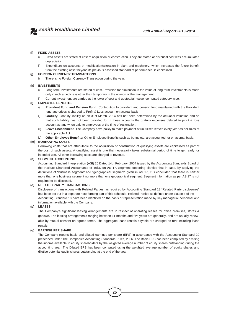#### **(i) FIXED ASSETS**

- i) Fixed assets are stated at cost of acquisition or construction. They are stated at historical cost less accumulated depreciation.
- ii) Expenditure on accounts of modification/alteration in plant and machinery, which increases the future benefit from the existing asset beyond its previous assessed standard of performance, is capitalized.

#### **(j) FOREIGN CURRENCY TRANSACTIONS**

i) There is no Foreign Currency Transaction during the year.

#### **(k) INVESTMENTS**

- i) Long-term Investments are stated at cost. Provision for diminution in the value of long-term Investments is made only if such a decline is other than temporary in the opinion of the management.
- ii) Current investment are carried at the lower of cost and quoted/fair value, computed category wise.

#### **(l) EMPLOYEE BENEFITS**

- i) **Provident Fund and Pension Fund:** Contribution to provident and pension fund maintained with the Provident fund authorities is charged to Profit & Loss account on accrual basis.
- ii) **Gratuity:** Gratuity liability as on 31st March, 2014 has not been determined by the actuarial valuation and so that such liability has not been provided for in these accounts the gratuity expenses debited to profit & loss account as and when paid to employees at the time of resignation.
- iii) **Leave Encashment:** The Company have policy to make payment of unutilised leaves every year as per rules of the applicable Act.
- iv) **Other Employee Benefits:** Other Employee Benefits such as bonus etc. are accounted for on accrual basis.

#### **(m) BORROWING COSTS**

Borrowing costs that are attributable to the acquisition or construction of qualifying assets are capitalized as part of the cost of such assets. A qualifying asset is one that necessarily takes substantial period of time to get ready for intended use. All other borrowing costs are charged to revenue.

#### **(n) SEGMENT ACCOUNTING**

Accounting Standard Interpretation (ASI) 20 Dated 14th February, 2004 issued by the Accounting Standards Board of the Institute Chartered Accountants of India, on AS 17, Segment Reporting clarifies that in case, by applying the definitions of "business segment" and "geographical segment" given in AS 17, it is concluded that there is neither more than one business segment nor more than one geographical segment. Segment information as per AS 17 is not required to be disclosed.

#### **(o) RELATED PARTY TRANSACTIONS**

Disclosure of transactions with Related Parties, as required by Accounting Standard 18 "Related Party disclosures" has been set out in a separate note forming part of this schedule. Related Parties as defined under clause 3 of the Accounting Standard 18 have been identified on the basis of representation made by key managerial personnel and information available with the Company.

#### **(p) LEASES**

The Company's significant leasing arrangements are in respect of operating leases for office premises, stores & godown. The leasing arrangements ranging between 11 months and five years are generally, and are usually renew able by mutual consent on agreed terms. The aggregate lease rentals payable are charged as rent including lease rentals.

#### **(q) EARNING PER SHARE**

The Company reports basic and diluted earnings per share (EPS) in accordance with the Accounting Standard 20 prescribed under The Companies Accounting Standards Rules, 2006. The Basic EPS has been computed by dividing the income available to equity shareholders by the weighted average number of equity shares outstanding during the accounting year. The Diluted EPS has been computed using the weighted average number of equity shares and dilutive potential equity shares outstanding at the end of the year.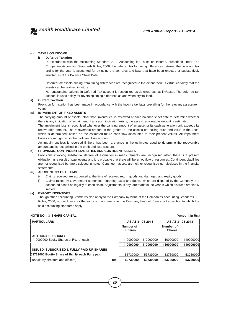

#### **(r) TAXES ON INCOME**

#### **i) Deferred Taxation**

In accordance with the Accounting Standard 22 – Accounting for Taxes on Income, prescribed under The Companies Accounting Standards Rules, 2006, the deferred tax for timing differences between the book and tax profits for the year is accounted for by using the tax rates and laws that have been enacted or substantively enacted as of the Balance Sheet Date.

Deferred tax assets arising from timing differences are recognised to the extent there is virtual certainty that the assets can be realised in future.

Net outstanding balance in Deferred Tax account is recognized as deferred tax liability/asset. The deferred tax account is used solely for reversing timing difference as and when crystallized.

#### **ii) Current Taxation**

Provision for taxation has been made in accordance with the income tax laws prevailing for the relevant assessment years.

#### **(s) IMPAIRMENT OF FIXED ASSETS**

The carrying amount of assets, other than inventories, is reviewed at each balance sheet date to determine whether there is any indication of impairment. If any such indication exists, the assets recoverable amount is estimated.

The impairment loss is recognized whenever the carrying amount of an asset or its cash generation unit exceeds its recoverable amount. The recoverable amount is the greater of the asset's net selling price and value in the uses, which is determined, based on the estimated future cash flow discounted to their present values. All impairment losses are recognized in the profit and loss account.

An impairment loss is reversed if there has been a change in the estimates used to determine the recoverable amount and is recognized in the profit and loss account.

#### **(t) PROVISION, CONTINGENT LIABILITIES AND CONTIGENT ASSETS**

Provisions involving substantial degree of estimation in measurements are recognised when there is a present obligation as a result of past events and it is probable that there will be an outflow of resources. Contingent Liabilities are not recognised but are disclosed in notes. Contingent assets are neither recognised nor disclosed in the financial statements.

#### **(u) ACCOUNTING OF CLAIMS**

- i) Claims received are accounted at the time of received return goods and damaged and expiry goods.
- ii) Claims raised by Government authorities regarding taxes and duties, which are disputed by the Company, are accounted based on legality of each claim. Adjustments, if any, are made in the year in which disputes are finally settled.

#### **(v) EXPORT INCENTIVES**

Though other Accounting Standards also apply to the Company by virtue of the Companies Accounting Standards Rules, 2006, no disclosure for the same is being made as the Company has not done any transaction to which the said accounting standards apply.

| <b>NOTE NO.: 3 SHARE CAPITAL</b>                     |       |                            |                  |                            | (Amount in Rs.) |
|------------------------------------------------------|-------|----------------------------|------------------|----------------------------|-----------------|
| <b>PARTICULARS</b>                                   |       |                            | AS AT 31-03-2014 | AS AT 31-03-2013           |                 |
|                                                      |       | Number of<br><b>Shares</b> |                  | Number of<br><b>Shares</b> |                 |
| <b>AUTHORISED SHARES</b>                             |       |                            |                  |                            |                 |
| 110000000 Equity Shares of Re. 1/- each              |       | 110000000                  | 110000000        | 110000000                  | 110000000       |
|                                                      |       | 110000000                  | 110000000        | 110000000                  | 110000000       |
| <b>ISSUED, SUBSCRIBED &amp; FULLY PAID-UP SHARES</b> |       |                            |                  |                            |                 |
| 53739000 Equity Share of Rs. 1/- each Fully paid     |       | 53739000                   | 53739000         | 53739000                   | 53739000        |
| unpaid by directors and officers)                    | Total | 53739000                   | 53739000         | 53739000                   | 53739000        |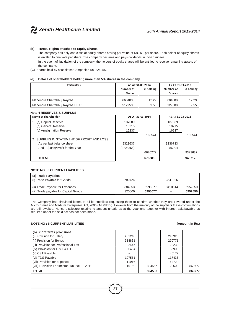#### **(b) Terms/ Rights attached to Equity Shares**

The company has only one class of equity shares having par value of Rs. 1/- per share. Each holder of equity shares is entitled to one vote per share. The company declares and pays dividends in Indian rupees.

In the event of liquidation of the company, the holders of equity shares will be entitled to receive remaining assets of the company.

**(C)** Shares held by associates Companies Rs. 2252550

#### **(d) Details of shareholders holding more than 5% shares in the company**

| <b>Particulars</b>                |               | AS AT 31-03-2014 | AS AT 31-03-2013 |           |  |
|-----------------------------------|---------------|------------------|------------------|-----------|--|
|                                   | Number of     | % holding        | Number of        | % holding |  |
|                                   | <b>Shares</b> |                  | <b>Shares</b>    |           |  |
| Mahendra Chatrabhuj Raycha        | 6604000       | 12.29            | 6604000          | 12.29     |  |
| Mahendra Chatrabhuj Raycha H.U.F. | 5129500       | 9.55             | 5129500          | 9.55      |  |

#### **Note 4 RESERVES & SURPLUS**

| Name of Shareholder                     |           | AS AT 31-03-2014 | AS AT 31-03-2013 |         |
|-----------------------------------------|-----------|------------------|------------------|---------|
| (a) Capital Reserve                     | 137089    |                  | 137089           |         |
| (b) General Reserve                     | 10215     |                  | 10215            |         |
| (c) Amalgmation Reserve                 | 16237     |                  | 16237            |         |
|                                         |           | 163541           |                  | 163541  |
| SURPLUS IN STATEMENT OF PROFIT AND LOSS |           |                  |                  |         |
| As per last balance sheet               | 9323637   |                  | 9236733          |         |
| Add: (Loss)/Profit for the Year         | (2703365) |                  | 86904            |         |
|                                         |           | 6620272          |                  | 9323637 |
| <b>TOTAL</b>                            |           | 6783813          |                  | 9487178 |

#### **NOTE NO : 5 CURRENT LIABILITIES** .

| (a) Trade Payables<br>(i) Trade Payable for Goods | 2790724 |         | 3541936 |         |
|---------------------------------------------------|---------|---------|---------|---------|
| (ii) Trade Payable for Expenses                   | 3884353 | 6995077 | 3410614 | 6952550 |
| (iii) Trade payable for Capital Goods             | 320000  | 6995077 | -       | 6952550 |

The Company has circulated letters to all its suppliers requesting them to confirm whether they are covered under the Micro, Small and Medium Enterprises Act, 2006 ('MSMED'). However from the majority of the suppliers these confirmations are still awaited. Hence disclosure relating to amount unpaid as at the year end together with interest paid/payable as required under the said act has not been made.

#### **NOTE NO : 6 CURRENT LIABILITIES (Amount in Rs.)**

| (b) Short terms provisions                  |        |        |        |        |
|---------------------------------------------|--------|--------|--------|--------|
| (i) Provision for Salary                    | 261248 |        | 240928 |        |
| (ii) Provision for Bonus                    | 318831 |        | 270771 |        |
| (iii) Provision for Professional Tax        | 22447  |        | 23230  |        |
| (iv) Provision for E.S.I. & P.F.            | 86404  |        | 85909  |        |
| (v) CST Payable                             |        |        | 46172  |        |
| (vi) TDS Payable                            | 107561 |        | 117436 |        |
| (vii) Provision for Expense                 | 11916  |        | 62729  |        |
| (viii) Provision For Income Tax 2010 - 2011 | 16150  | 824557 | 22602  | 869777 |
| <b>TOTAL</b>                                |        | 824557 |        | 869777 |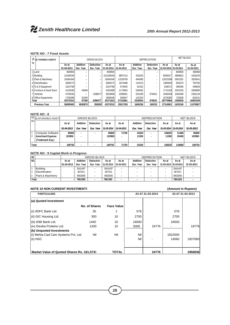#### **NOTE NO : 7 Fixed Assets**

| No | SR (i) TANGIBLE ASSETS       |                     |                | GROSS BLOCK      |                     | <b>DEPRECIATION</b> |                   |                  |                       | <b>NET BLOCK</b>   |                    |  |
|----|------------------------------|---------------------|----------------|------------------|---------------------|---------------------|-------------------|------------------|-----------------------|--------------------|--------------------|--|
|    |                              | Asat                | Addition       | <b>Deduction</b> | Asat                | Asat                | <b>Addition</b>   | <b>Deduction</b> | Asat                  | Asat               | Asat               |  |
|    |                              | 01-04-2013          | Dur. Year      | Dur. Year        | 31-03-2014          | 01-04-2013          | Dur. Year         | Dur. Year        | 31-03-2014 31-03-2014 |                    | 31-03-2013         |  |
|    | 1 Land                       | 800900              | -              | -                | 800900              |                     |                   | -                |                       | 800900             | 800900             |  |
|    | 2 Building                   | 13189339            | -              | -                | 013189339           | 8857314             | 433203            |                  | 9290517               | 3898822            | 4332025            |  |
|    | 3 Plant & Machinery          | 15084349            | -              | -                | 15084349            | 11528708            | 494590            |                  | 12023298              | 3061051            | 3555641            |  |
|    | 4 Electrification            | 2668273             | -              | -                | 2668273             | 1874488             | 110415            |                  | 1984903               | 683370             | 793785             |  |
|    | 5 R & D Equipment            | 1024768             |                | -                | 1024768             | 575940              | 62432             |                  | 638372                | 386396             | 448828             |  |
|    | 6 Furniture & Dead Stock     | 4120548             | 44940          | -                | 4165488             | 1173663             | 539492            |                  | 1713155               | 2452333            | 2946885            |  |
|    | 7 Vehicles                   | 4726035             | -              | 1096077          | 3629958             | 2369901             | 553189            | 876631           | 2046459               | 1583499            | 2356134            |  |
|    | 8 Office Equipments<br>Total | 1756098<br>43370310 | 52450<br>97390 | -<br>1096077     | 1808548<br>42371623 | 936947<br>27316961  | 142333<br>2335654 | 876631           | 1079280<br>28775984   | 729268<br>13595639 | 819151<br>16053349 |  |
|    | <b>Previous Year</b>         | 36895945            | 6830870        | 356505           | 43370310            | 25817038            | 1660256           | 160333           | 27316961              | 16053349           | 11078907           |  |

#### **NOTE NO : 8**

|              | SR (ii) INTANGIBLE ASSETS | <b>GROSS BLOCK</b> |                          |                  |            |            | <b>DEPRECIATION</b> |                  |                       |        | <b>NET BLOCK</b> |
|--------------|---------------------------|--------------------|--------------------------|------------------|------------|------------|---------------------|------------------|-----------------------|--------|------------------|
| NO.          |                           | As at              | <b>Addition</b>          | <b>Deduction</b> | Asat       | Asat       | Addition            | <b>Deduction</b> | Asat                  | Asat   | Asat             |
|              |                           | 01-04-2013         | Year<br>Dur.             | Dur. Year        | 31-03-2014 | 01-04-2013 | Dur. Year           | Dur. Year        | 31-03-2014 31-03-2014 |        | 31-03-2013       |
|              | <b>Computer Software</b>  | 85800              |                          |                  | 85800      | 71700      | 34320               |                  | 106020                | 51480  | 85800            |
| っ            | <b>Amortised Expense</b>  | 103950             | $\overline{\phantom{0}}$ |                  | 103950     | ٠          | 11550               | -                | 11550                 | 92400  | 103950           |
|              | (Trademark Exp.)          |                    |                          |                  |            |            |                     |                  |                       |        |                  |
| <b>Total</b> |                           | 189750             |                          |                  | 189750     | 71700      | 34320               |                  | 106020                | 143880 | 189750           |

#### **NOTE NO : 9 Capital Work in Progress**

| <b>SR</b>    |                   |            |                 | <b>GROSS BLOCK</b> |            | <b>DEPRECIATION</b> |           |                  |                       | <b>NET BLOCK</b> |            |
|--------------|-------------------|------------|-----------------|--------------------|------------|---------------------|-----------|------------------|-----------------------|------------------|------------|
| <b>NO</b>    |                   | Asat       | <b>Addition</b> | <b>Deduction</b>   | Asat       | Asat                | Addition  | <b>Deduction</b> | Asat                  | Asat             | Asat       |
|              |                   | 01-04-2013 | Dur. Year       | Dur. Year          | 31-03-2014 | 01-04-2013          | Dur. Year | Dur. Year        | 31-03-2014 31-03-2014 |                  | 31-03-2013 |
|              | <b>Building</b>   |            | 2641497         | -                  | 2641497    |                     |           |                  |                       | 2641497          |            |
| 12           | Electrification   |            | 367021          | ٠                  | 367021     | $\blacksquare$      |           |                  |                       | 367021           | ۰          |
| 3            | Plant & Machinery |            | 4853065         |                    | 4853065    | $\blacksquare$      |           |                  |                       | 4853065          |            |
| <b>Total</b> |                   |            | 7861583         |                    | 7861583    |                     |           |                  |                       | 7861583          |            |

#### **NOTE 10 NON CUREENT INVESTMENTS (Amount in Rupees)**

| <b>PARTICULARS</b>                                                          |               |                   |            | AS AT 31-03-2014 | AS AT 31-03-2013 |         |  |
|-----------------------------------------------------------------------------|---------------|-------------------|------------|------------------|------------------|---------|--|
| (a) Quoted Investment                                                       |               |                   |            |                  |                  |         |  |
|                                                                             | No. of Shares | <b>Face Value</b> |            |                  |                  |         |  |
| (i) HDFC Bank Ltd.                                                          | 35            | 2                 | 576        |                  | 576              |         |  |
| (ii) GIC Housing Ltd.                                                       | 300           | 10                | 2700       |                  | 2700             |         |  |
| (iii) IDBI Bank Ltd.                                                        | 1440          | 10                | 16500      |                  | 16500            |         |  |
| (iv) Devika Proteins Ltd.                                                   | 1200          | 10                | 5000       | 24776            |                  | 19776   |  |
| (b) Unquoted Investments<br>(i) Mehta Cad Cam Systems Pvt. Ltd.<br>(ii) NSC | Nil           | Nil               | Nil<br>Nil |                  | 1922500<br>14560 | 1937060 |  |
| Market Value of Quoted Shares Rs. 161,573/-                                 |               | <b>TOTAL</b>      |            | 24776            |                  | 1956836 |  |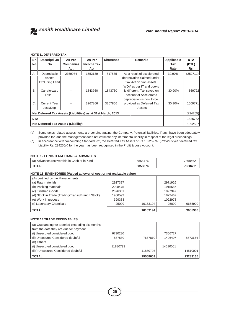#### **NOTE 11 DEFERRED TAX**

| Sr.                                                          | Descripti On                         | As Per           | As Per            | <b>Difference</b> | <b>Remarks</b>             | Applicable | <b>DTA</b> |
|--------------------------------------------------------------|--------------------------------------|------------------|-------------------|-------------------|----------------------------|------------|------------|
| No.                                                          | <b>On</b>                            | <b>Companies</b> | <b>Income Tax</b> |                   |                            | Tax        | (DTL)      |
|                                                              |                                      | Act              | Act               |                   |                            | Rate       | Rs.        |
| А.                                                           | Depreciable                          | 2369974          | 1552139           | 817835            | As a result of accelerated | 30.90%     | (252711)   |
|                                                              | Assets                               |                  |                   |                   | depreciation claimed under |            |            |
|                                                              | Excluding Land                       |                  |                   |                   | Tax Act on own assets      |            |            |
|                                                              |                                      |                  |                   |                   | WDV as per IT and books    |            |            |
| <b>B.</b>                                                    | Carryforward                         |                  | 1843760           | 1843760           | is different. Tax saved on | 30.90%     | 569722     |
|                                                              | Loss                                 |                  |                   |                   | account of Accelerated     |            |            |
|                                                              |                                      |                  |                   |                   | depreciation is now to be  |            |            |
| C.                                                           | <b>Current Year</b>                  |                  | 3267866           | 3267866           | provided as Deferred Tax   | 30.90%     | 1009771    |
|                                                              | Loss/Dep.                            |                  |                   |                   | Assets                     |            |            |
| Net Deferred Tax Assets (Liabilities) as at 31st March, 2013 |                                      |                  |                   |                   |                            |            | (234255)   |
| <b>DTA</b>                                                   |                                      |                  | 1326782           |                   |                            |            |            |
|                                                              | Net Deferred Tax Asset / (Liability) |                  |                   |                   |                            |            | 1092527    |

(a) Some taxes related assessments are pending against the Company. Potential liabilities, if any, have been adequately provided for, and the management does not estimate any incremental liability in respect of the legal proceedings.

(b) In accordance with "Accounting Standard 22", the Deferred Tax Assets of Rs.1092527/- (Previous year deferred tax Liability Rs. 234255/-) for the year has been recognised in the Profit & Loss Account.

#### **NOTE 12 LONG-TERM LOANS & ADVANCES**

| In Advances recoverable in Cash or in Kind<br>(a) | 6858476 | 7368462 |
|---------------------------------------------------|---------|---------|
| <b>TOTAL</b>                                      | 6858876 | 7368462 |

**NOTE 13 INVENTORIES (Valued at lower of cost or net realizable value)**

| (As certified by the Management)                  |         |          |         |         |
|---------------------------------------------------|---------|----------|---------|---------|
| (a) Raw materials                                 | 2927387 |          | 2971926 |         |
| (b) Packing materials                             | 2028475 |          | 1915587 |         |
| (c) Finished Goods                                | 2876351 |          | 1897947 |         |
| (d) Stock in Trade (Trading/Transit/Branch Stock) | 1906593 |          | 1822462 |         |
| (e) Work in process                               | 399388  |          | 1022978 |         |
| (f) Laboratory Chemicals                          | 25000   | 10163194 | 25000   | 9655900 |
| <b>TOTAL</b>                                      |         | 10163194 |         | 9655900 |

#### **NOTE 14 TRADE RECEIVABLES**

| (a) Outstanding for a period exceeding six months |          |          |          |          |
|---------------------------------------------------|----------|----------|----------|----------|
| from the date they are due for payment            |          |          |          |          |
| (i) Unsecured considered good                     | 6790280  |          | 7366727  |          |
| (ii) Unsecured Considered doubtful                | 887530   | 7677810  | 1406407  | 8773134  |
| (b) Others                                        |          |          |          |          |
| (i) Unsecured considered good                     | 11880793 |          | 14510001 |          |
| (ii) ) Unsecured Considered doubtful              |          | 11880793 | ۰        | 14510001 |
| <b>TOTAL</b>                                      |          | 19558603 |          | 23283135 |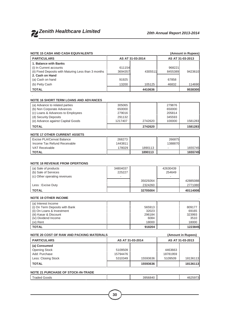

| <b>NOTE 15 CASH AND CASH EQUIVALENTS</b><br>(Amount in Rupees)                        |                    |                  |                    |                    |  |
|---------------------------------------------------------------------------------------|--------------------|------------------|--------------------|--------------------|--|
| <b>PARTICULARS</b>                                                                    |                    | AS AT 31-03-2014 | AS AT 31-03-2013   |                    |  |
| 1. Balance with Banks                                                                 |                    |                  |                    |                    |  |
| (i) In Current accounts                                                               | 611154             |                  | 968221             |                    |  |
| (ii) Fixed Deposits with Maturing Less than 3 months                                  | 3694357            | 4305511          | 8455389            | 9423610            |  |
| 2. Cash on Hand                                                                       |                    |                  |                    |                    |  |
| (a) Cash on hand                                                                      | 91925              |                  | 67858              |                    |  |
| (b) Petty Cash                                                                        | 13200              | 105125           | 46832              | 114690             |  |
| <b>TOTAL</b>                                                                          |                    | 4410636          |                    | 9538300            |  |
| <b>NOTE 16 SHORT TERM LOANS AND ADVANCES</b>                                          |                    |                  |                    |                    |  |
|                                                                                       |                    |                  |                    |                    |  |
| (a) Advance to related parties<br>(b) Non Corporate Advances                          | 305065<br>650000   |                  | 279876<br>650000   |                    |  |
| (c) Loans & Advances to Employees                                                     | 279016             |                  | 205814             |                    |  |
| (d) Security Deposits                                                                 | 291132             |                  | 345593             |                    |  |
| (e) Advance against Capital Goods                                                     | 1217407            | 2742620          | 100000             | 1581283            |  |
|                                                                                       |                    |                  |                    |                    |  |
| <b>TOTAL</b>                                                                          |                    | 2742620          |                    | 1581283            |  |
| <b>NOTE 17 OTHER CURRENT ASSETS</b>                                                   |                    |                  |                    |                    |  |
| Excise PLA/Cenvat Balance                                                             | 268273             |                  | 266875             |                    |  |
| Income Tax Refund Receivable                                                          | 1443811            |                  | 1388870            |                    |  |
| <b>VAT Receivable</b>                                                                 | 178029             | 1890113          | ٠                  | 1655745            |  |
| <b>TOTAL</b>                                                                          |                    | 1890113          |                    | 1655745            |  |
| <b>NOTE 18 REVENUE FROM OPERTIONS</b><br>(a) Sale of products<br>(b) Sale of Services | 34804037<br>225227 |                  | 42630439<br>254649 |                    |  |
| (c) Other operating revenues                                                          |                    |                  |                    |                    |  |
|                                                                                       |                    | 35029264         |                    | 42885088           |  |
| Less: Excise Duty                                                                     |                    | 2324260          |                    | 2771080            |  |
| <b>TOTAL</b>                                                                          |                    | 32705004         |                    | 40114008           |  |
| <b>NOTE 19 OTHER INCOME</b>                                                           |                    |                  |                    |                    |  |
| (a) Interest Income                                                                   |                    |                  |                    |                    |  |
| (i) On Term Deposits with Bank<br>(ii) On Loans & Investment                          |                    | 565913<br>32023  |                    | 809177             |  |
| (iii) Kasar & Discount                                                                |                    | 296184           |                    | 69165<br>323993    |  |
| (iv) Dividend Income                                                                  |                    | 6084             |                    | 3510               |  |
| (vi) Rent                                                                             |                    | 18000            |                    | 18000              |  |
| <b>TOTAL</b>                                                                          |                    | 918204           |                    | 1223845            |  |
|                                                                                       |                    |                  |                    |                    |  |
| <b>NOTE 20 COST OF RAW AND PACKING MATERIALS</b>                                      |                    |                  |                    | (Amount in Rupees) |  |
| <b>PARTICULARS</b>                                                                    |                    | AS AT 31-03-2014 |                    | AS AT 31-03-2013   |  |
| (a) Consumed                                                                          |                    |                  |                    |                    |  |
| <b>Opening Stock</b>                                                                  | 5109509            |                  | 4463663            |                    |  |
| Add: Purchase                                                                         | 15794476           |                  | 18781959           |                    |  |
| Less: Closing Stock                                                                   | 5310349            | 15593636         | 5109509            | 18136113           |  |

### **NOTE 21 PURCHASE OF STOCK-IN-TRADE** Traded Goods 2625973

**TOTAL 15593636 18136113**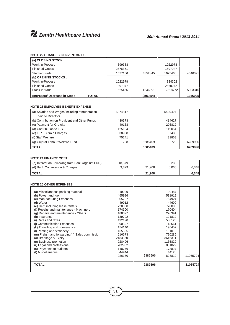#### **NOTE 22 CHANGES IN INVENTORIES**

| (a) CLOSING STOCK                      |         |          |         |         |
|----------------------------------------|---------|----------|---------|---------|
| Work-in-Process                        | 399388  |          | 1022978 |         |
| <b>Finished Goods</b>                  | 2876351 |          | 1897947 |         |
| Stock-in-trade                         | 1577106 | 4852845  | 1625466 | 4546391 |
| (b) OPENING STOCKS :                   |         |          |         |         |
| Work-in-Process                        | 1022978 |          | 824302  |         |
| <b>Finished Goods</b>                  | 1897947 |          | 2560242 |         |
| Stock-in-trade                         | 1625466 | 4546391  | 2518772 | 5903316 |
| (Increase)/ Decrease in Stock<br>TOTAL |         | (306454) |         | 1356925 |

#### **NOTE 23 EMPOLYEE BENEFIT EXPENSE**

| (a) Salaries and Wages/Including remuneration | 5974817 |         | 5429427 |         |  |
|-----------------------------------------------|---------|---------|---------|---------|--|
| paid to Directors                             |         |         |         |         |  |
| (b) Contribution on Provident and Other Funds | 430373  |         | 414627  |         |  |
| (c) Payment for Gratuity                      | 40168   |         | 206812  |         |  |
| (d) Contribution to E.S.I.                    | 125134  |         | 119054  |         |  |
| (e) E.P.F Admin Charges                       | 38938   |         | 37488   |         |  |
| (f) Staff Welfare                             | 75241   |         | 81868   |         |  |
| (g) Gujarat Labour Welfare Fund               | 738     | 6685409 | 720     | 6289996 |  |
| <b>TOTAL</b>                                  |         | 6685409 |         | 6289996 |  |

#### **NOTE 24 FINANCE COST**

| (a) Interest on Borrowing from Bank (against FDR) | 18.579 |        | 288   |       |
|---------------------------------------------------|--------|--------|-------|-------|
| (d) Bank Commission & Charges                     | 3.329  | 21,908 | 6.060 | 6.348 |
| <b>TOTAL</b>                                      |        | 21.908 |       | 6,348 |

#### **NOTE 25 OTHER EXPENSES** .

| (a) Miscellaneous packing material<br>(b) Power and fuel<br>(c) Manufacturing Expenses<br>(d) Water<br>(e) Rent including lease rentals<br>(f) Repairs and maintenance - Machinery<br>(g) Repairs and maintenance - Others<br>(h) Insurance<br>(i) Rates and taxes<br>(i) Communication Expenses<br>(k) Travelling and conveyance<br>(I) Printing and stationery<br>(m) Freight and forwarding(n) Sales commission<br>(o) Breakage & Expiry<br>(p) Business promotion<br>(r) Legal and professional<br>(s) Payments to auditors<br>(t) Miscellaneous | 19229<br>455986<br>805737<br>49912<br>720000<br>174300<br>188827<br>139702<br>492190<br>90597<br>154140<br>165585<br>616573<br>2483560<br>928406<br>782952<br>148776<br>44944<br>926180 | 9387596 | 20487<br>531919<br>754924<br>44600<br>770000<br>170404<br>276391<br>121822<br>508125<br>118561<br>196452<br>131018<br>790286<br>3616311<br>1135829<br>831829<br>173827<br>44120<br>828819 | 11065724 |  |
|------------------------------------------------------------------------------------------------------------------------------------------------------------------------------------------------------------------------------------------------------------------------------------------------------------------------------------------------------------------------------------------------------------------------------------------------------------------------------------------------------------------------------------------------------|-----------------------------------------------------------------------------------------------------------------------------------------------------------------------------------------|---------|-------------------------------------------------------------------------------------------------------------------------------------------------------------------------------------------|----------|--|
| <b>TOTAL</b>                                                                                                                                                                                                                                                                                                                                                                                                                                                                                                                                         |                                                                                                                                                                                         | 9387596 |                                                                                                                                                                                           | 11065724 |  |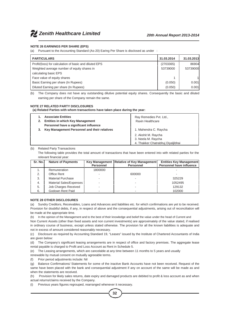#### **NOTE 26 EARNINGS PER SHARE (EPS)**

(a) Pursuant to the Accounting Standard (As-20) Earing Per Share is disclosed as under :

| <b>PARTICULARS</b>                                     | 31.03.2014 | 31.03.2013 |
|--------------------------------------------------------|------------|------------|
| Profit/(loss) for calculation of basic and diluted EPS | (2703365)  | 86904      |
| Weighted average number of equity shares in            | 53739000   | 53739000   |
| calculating basic EPS                                  |            |            |
| Face value of equity shares                            |            |            |
| Basic Earning per share (In Rupees)                    | (0.050)    | 0.001      |
| Diluted Earning per share (In Rupees)                  | (0.050)    | 0.001      |

(b) The Company does not have any outstanding dilutive potential equity shares. Consequently the basic and diluted earning per share of the Company remain the same.

#### **NOTE 27 RELATED PARTY DISCLOSURES**

**(a) Related Parties with whom transactions have taken place during the year:**

| <b>Associate Entities</b><br><b>Entities in which Key Management</b>                   | Ray Remedies Pvt. Ltd.,<br>Raxin Healthcare                        |
|----------------------------------------------------------------------------------------|--------------------------------------------------------------------|
| Personnel have a significant influence<br>Key Management Personnel and their relatives | 1. Mahendra C. Raycha<br>2. Akshit M. Raycha<br>3. Neela M. Raycha |
|                                                                                        | 4. Thakker Chatrabhuj Diyaljibhai                                  |

#### (b) Related Party Transactions

The following table provides the total amount of transactions that have been entered into with related parties for the relevant financial year:

| Sr. No. | <b>Nature of Payments</b> | <b>Personnel</b> | Key Management   Relative of Key Management<br><b>Personnel</b> | <b>Entities Key Management</b><br><b>Personnel have influence</b> |
|---------|---------------------------|------------------|-----------------------------------------------------------------|-------------------------------------------------------------------|
|         | Remuneration              | 1800000          |                                                                 |                                                                   |
| 2.      | Office Rent               |                  | 600000                                                          |                                                                   |
| 3.      | <b>Material Purchase</b>  |                  |                                                                 | 325229                                                            |
| 4.      | Material Sales/Expenses   |                  |                                                                 | 1052495                                                           |
| 5.      | Job Charges Received      |                  |                                                                 | 129132                                                            |
| 6.      | Godown Rent Paid          |                  |                                                                 | 102000                                                            |

#### **NOTE 28 OTHER DISCLOSURES**

(a) Sundry Creditors, Receivables, Loans and Advances and liabilities etc. for which confirmations are yet to be received. Provision for doubtful debts, if any, in respect of above and the consequential adjustments, arising out of reconciliation will be made at the appropriate time.

(b) In the opinion of the Management and to the best of their knowledge and belief the value under the head of Current and

Non Current Assets (other than fixed assets and non current investments) are approximately of the value stated, if realised in ordinary course of business, except unless stated otherwise. The provision for all the known liabilities is adequate and not in excess of amount considered reasonably necessary.

(c) Disclosure as required by Accounting Standard 19, "Leases" issued by the Institute of Chartered Accountants of India are given below:

(d) The Company's significant leasing arrangements are in respect of office and factory premises. The aggregate lease rental payable is charged to Profit and Loss Account as Rent in Schedule 5.

(e) The Leasing arrangements, which are cancelable at any time between 11 months to 5 years and usually

renewable by mutual consent on mutually agreeable terms.

(f) Prior period adjustments include: Nil

(g) Balance Confirmations/ Statements for some of the inactive Bank Accounts have not been received. Request of the same have been placed with the bank and consequential adjustment if any on account of the same will be made as and when the statements are received.

(h) Provision for likely sales returns, date expiry and damaged products are debited to profit & loss account as and when actual returns/claims received by the Company.

(i) Previous years figures regrouped, rearranged whenever it necessary.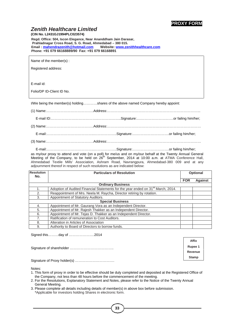# **PROXY FORM**

**Affix Rupee 1 Revenue Stamp**

#### *Zenith Healthcare Limited* **(CIN No. L2431GJ1994PLC023574)**

**Regd. Office: 504, Iscon Elegance, Near Ananddham Jain Darasar, Prahladnagar Cross Road, S. G. Road, Ahmedabad – 380 015. Email : mahendrazenith@hotmail.com Website: www.zenithhealthcare.com Phone: +91 079 66168889/90 Fax: +91 079 66168891**

Name of the member(s) :

Registered address:

E-mail id:

Folio/DP ID-Client ID No.

I/We being the member(s) holding…………shares of the above named Company hereby appoint:

E-mail:…………………………………..………………..Signature:….……………………….or failing him/her;

as my/our proxy to attend and vote (on a poll) for me/us and on my/our behalf at the Twenty Annual General Meeting of the Company, to be held on 26<sup>th</sup> September, 2014 at 10:00 a.m. at ATMA Conference Hall, Ahmedabad Textile Mills' Association, Ashram Road, Navrangpura, Ahmedabad-380 009 and at any adjournment thereof in respect of such resolutions as are indicated below:

| <b>Resolution</b><br>No. | <b>Particulars of Resolution</b>                                                             |            | <b>Optional</b> |  |
|--------------------------|----------------------------------------------------------------------------------------------|------------|-----------------|--|
|                          |                                                                                              | <b>FOR</b> | <b>Against</b>  |  |
| <b>Ordinary Business</b> |                                                                                              |            |                 |  |
|                          | Adoption of Audited Financial Statements for the year ended on 31 <sup>st</sup> March, 2014. |            |                 |  |
| 2.                       | Reappointment of Mrs. Neela M. Raycha, Director retiring by rotation.                        |            |                 |  |
| 3.                       | Appointment of Statutory Auditors.                                                           |            |                 |  |
| <b>Special Business</b>  |                                                                                              |            |                 |  |
| 4.                       | Appointment of Mr. Gaurang Vora as an Independent Director.                                  |            |                 |  |
| 5.                       | Appointment of Mr. Rajesh Thakker as an Independent Director.                                |            |                 |  |
| 6.                       | Appointment of Mr. Tejas D. Thakker as an Independent Director.                              |            |                 |  |
| 7.                       | Ratification of remuneration to Cost Auditors.                                               |            |                 |  |
| 8.                       | Alteration in Articles of Association                                                        |            |                 |  |
| 9.                       | Authority to Board of Directors to borrow funds.                                             |            |                 |  |

Signed this………day of ………………….2014

Signature of shareholder ………………………………..

Signature of Proxy holder(s) …………………………….

Notes:

- 1. This form of proxy in order to be effective should be duly completed and deposited at the Registered Office of the Company, not less than 48 hours before the commencement of the meeting.
- 2. For the Resolutions, Explanatory Statement and Notes, please refer to the Notice of the Twenty Annual General Meeting.
- 3. Please complete all details including details of member(s) in above box before submission. \*Applicable for investors holding Shares in electronic form.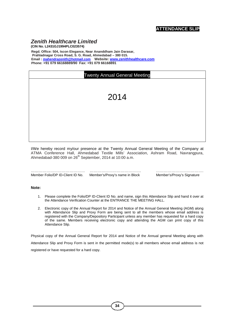# *Zenith Healthcare Limited*

**(CIN No. L2431GJ1994PLC023574) Regd. Office: 504, Iscon Elegance, Near Ananddham Jain Darasar, Prahladnagar Cross Road, S. G. Road, Ahmedabad – 380 015. Email : mahendrazenith@hotmail.com Website: www.zenithhealthcare.com Phone: +91 079 66168889/90 Fax: +91 079 66168891**

| <b>Twenty Annual General Meeting</b> |      |  |  |
|--------------------------------------|------|--|--|
|                                      | 2014 |  |  |
|                                      |      |  |  |
|                                      |      |  |  |
|                                      |      |  |  |

I/We hereby record my/our presence at the Twenty Annual General Meeting of the Company at ATMA Conference Hall, Ahmedabad Textile Mills' Association, Ashram Road, Navrangpura, Ahmedabad-380 009 on 26<sup>th</sup> September, 2014 at 10:00 a.m.

| Member Folio/DP ID-Client ID No. | Member's/Proxy's name in Block |
|----------------------------------|--------------------------------|

…………………………………… …………………………………. ………………………………. Member's/Proxy's Signature

#### **Note:**

- 1. Please complete the Folio/DP ID-Client ID No. and name, sign this Attendance Slip and hand it over at the Attendance Verification Counter at the ENTRANCE THE MEETING HALL.
- 2. Electronic copy of the Annual Report for 2014 and Notice of the Annual General Meeting (AGM) along with Attendance Slip and Proxy Form are being sent to all the members whose email address is registered with the Company/Depository Participant unless any member has requested for a hard copy of the same. Members receiving electronic copy and attending the AGM can print copy of this Attendance Slip.

Physical copy of the Annual General Report for 2014 and Notice of the Annual general Meeting along with Attendance Slip and Proxy Form is sent in the permitted mode(s) to all members whose email address is not registered or have requested for a hard copy.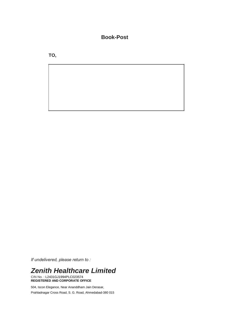# **Book-Post**

**TO,**

*If undelivered, please return to :*

# *Zenith Healthcare Limited*

CIN No. : L2431GJ1994PLC023574 **REGISTERED AND CORPORATE OFFICE**

504, Iscon Elegance, Near Ananddham Jain Derasar, Prahladnagar Cross Road, S. G. Road, Ahmedabad-380 015